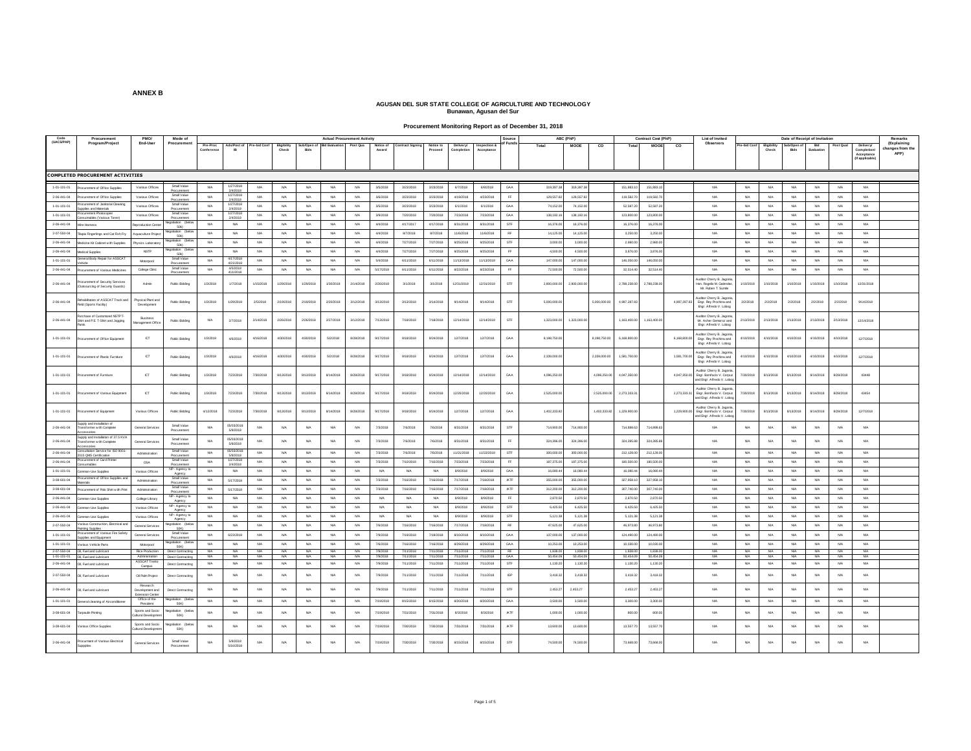#### **Procurement Monitoring Report as of December 31, 2018**

|                     |                                                                                               |                                              | Mode of<br><b>Actual Procurement Activity</b> |                        |                                   |                  |                            |                        |                       |                        | Source               |                         | ABC (PhP)              |                                       |                            | Contract Cost (PhP) |                       | List of Invited       |              |                       | Date of Receipt of Invitati |              |                                                                                                   |                        | Remarks              |                        |                   |                  |                                              |                                        |
|---------------------|-----------------------------------------------------------------------------------------------|----------------------------------------------|-----------------------------------------------|------------------------|-----------------------------------|------------------|----------------------------|------------------------|-----------------------|------------------------|----------------------|-------------------------|------------------------|---------------------------------------|----------------------------|---------------------|-----------------------|-----------------------|--------------|-----------------------|-----------------------------|--------------|---------------------------------------------------------------------------------------------------|------------------------|----------------------|------------------------|-------------------|------------------|----------------------------------------------|----------------------------------------|
| Code<br>(UACS/PAP)  | Procuremen<br>Program/Project                                                                 | PMO<br>End-Use                               | Procurement                                   | Pre-Proc<br>Conferenc  | Ads/Post of                       | Pre-bid Cont     | <b>Bigibility</b><br>Check | Sub/Open of<br>Bids    | <b>Bid Evaluation</b> | Post Qua               | Notice of<br>Award   | <b>Contract Signing</b> | Notice to<br>Proceed   | <b>Delivery/</b><br><b>Completion</b> | Inspection &<br>Acceptance |                     | Total                 | MOOE                  | co           | Total                 | <b>MOOE</b>                 | co           | Observers                                                                                         | re-bid Conf            | Eligibility<br>Check | Sub/Open<br>Bids       | Bid<br>Evaluation | Post Qua         | <b>Delivery/</b><br>Completion<br>Acceptance | (Explaining<br>hanges from the<br>APP) |
|                     |                                                                                               |                                              |                                               |                        |                                   |                  |                            |                        |                       |                        |                      |                         |                        |                                       |                            |                     |                       |                       |              |                       |                             |              |                                                                                                   |                        |                      |                        |                   |                  | (If applicable                               |                                        |
|                     | <b>COMPLETED PROCUREMENT ACTIVITIES</b>                                                       |                                              |                                               |                        |                                   |                  |                            |                        |                       |                        |                      |                         |                        |                                       |                            |                     |                       |                       |              |                       |                             |              |                                                                                                   |                        |                      |                        |                   |                  |                                              |                                        |
| 1-01-101-01         | curement of Office Supple                                                                     | Various Offices                              | Small Value                                   | NA                     | 1/27/2018<br>2/4/2018             | NA               | <b>NA</b>                  | <b>NA</b>              | NA                    | NA                     | 3/5/2018             | 3/23/2018               | 3/23/2018              | 6/7/2018                              | 6/8/2018                   | GAA                 | 319.397.38            | 319, 397, 38          |              | 151,883.10            | 151,883.10                  |              | N/A                                                                                               | <b>N/A</b>             | NA.                  | NA                     | NA                | NA               | <b>N/A</b>                                   |                                        |
| $2 - 06 - 441 - 04$ | ocurement of Office Supples                                                                   | Various Offices                              | Procurement<br>Small Value                    | NA                     | 1/27/201                          | NA               | <b>NA</b>                  | N/A                    | <b>N/A</b>            | NA                     | 3/6/2018             | 3/23/2018               | 3/23/201               | 4/19/2018                             | 4/23/2018                  | FF.                 | 129,557.8             | 129,557.8             |              | 119,582.              | 119,582.7                   |              | NA <sub></sub>                                                                                    | NA                     | NA                   | NA                     | <b>NA</b>         | NA               | <b>N/A</b>                                   |                                        |
| 1-01-101-01         | rocurement of Janitorial Cleaning                                                             | Various Office                               | Procurement<br>Small Value                    | <b>NA</b>              | 2/4/2018<br>1/27/2018             | nata.            | <b>N/A</b>                 | <b>NA</b>              | N/A                   | <b>NA</b>              | 3/5/2018             | 3/23/2018               | 3/23/201               | 6/1/2018                              | 6/1/2018                   | GAA                 | 74.152.0              | 74.152.00             |              | 52.587.               | 52,587.2                    |              | <b>NA</b>                                                                                         | <b>N/A</b>             | NA                   | <b>NA</b>              | <b>NA</b>         | <b>NAMA</b>      | <b>N/A</b>                                   |                                        |
| $1 - 01 - 101 - 01$ | plies and Material<br>urement Photocopie                                                      | Various Offices                              | Small Value                                   | <b>NA</b>              | 2/4/2018<br>1/27/2018<br>2/4/2018 | NA               | <b>NA</b>                  | <b>NA</b>              | <b>N/A</b>            | NA                     | 3/9/2018             | 7/20/2018               | 7/20/2018              | 7/23/2018                             | 7/23/2018                  | GAA                 | 138, 192.16           | 138.192.16            |              | 123,800.00            | 123,800.00                  |              | NA                                                                                                | NA                     | <b>N/A</b>           | NA                     | NA                | NA               | <b>N/A</b>                                   |                                        |
| $2 - 06 - 441 - 04$ | umables (Various Toner<br>Vre Hamess                                                          | eproduction Cen                              | Procuremen<br>egotiation (be                  | NA                     | $_{\rm NA}$                       | NA               | <b>NA</b>                  | $_{\rm NA}$            | <b>N/A</b>            | $_{\rm NA}$            | 4/4/2018             | 4/17/2017               | 4/17/2018              | 8/31/2018                             | 8/31/2018                  | STF                 | 16,376.0              | 16,376.00             |              | 16,376.0              | 16,376.0                    |              | <b>NA</b>                                                                                         | $_{\rm NA}$            | $_{\rm NIA}$         | $_{\rm NA}$            | $_{\rm NA}$       | $_{\rm{NIA}}$    | <b>N/A</b>                                   |                                        |
| $2 - 07 - 550 - 04$ | apia Fingerlings and Cat Fish Fr                                                              | quaculture Pro                               | 50k3<br>aptiation (be                         | <b>NA</b>              | <b>NA</b>                         | NA               | <b>NA</b>                  | <b>NA</b>              | <b>NA</b>             | <b>NA</b>              | 4/4/2018             | 8/7/2018                | 8/7/2018               | 11/6/2018                             | 11/6/2018                  | RF                  | 14,125.0              | 14,125.00             |              | 3,250.0               | 3,250.0                     |              | NA                                                                                                | <b>NA</b>              | <b>NA</b>            | <b>NA</b>              | <b>NA</b>         | <b>NA</b>        | <b>N/A</b>                                   |                                        |
| 2-06-441-04         | Medicine Kit Cabinet with Supplies                                                            | Physics Laborat                              | 5081                                          | <b>NA</b>              | <b>NA</b>                         | NA               | <b>N/A</b>                 | <b>NA</b>              | NA                    | <b>NA</b>              | 4/4/2018             | 7/27/2018               | 7/27/2018              | 9/25/2018                             | 9/25/2018                  | STF                 | 3,000.00              | 3,000.00              |              | 2,980.00              | 2,980.00                    |              | NA                                                                                                | N/A                    | N/A                  | NA.                    | NA                | NA               | N/A                                          |                                        |
| $2-06-441-04$       | edical Supplie                                                                                | NSTP                                         | 50k)<br>stiation (be                          | NA                     | NA                                | NA               | <b>NA</b>                  | <b>NA</b>              | <b>N/A</b>            | NA                     | 4/4/2018             | 7/27/2018               | 7/27/2018              | 9/25/2018                             | 9/25/2018                  | FF                  | 4,500.0               | 4,500.0               |              | 3,876.0               | 3,876.0                     |              | NA                                                                                                | NA                     | NA                   | NA                     | NA                | NA               | <b>N/A</b>                                   |                                        |
| 1-01-101-01         | neral Body Repair for ASSCA*                                                                  | Motorpool                                    | <b>50k3</b><br>Small Value                    | <b>NA</b>              | 4/17/2018                         | NA               | <b>NA</b>                  | <b>NA</b>              | <b>NA</b>             | <b>NA</b>              | 5/4/2018             | 6/11/2018               | 6/11/201               | 11/13/201                             | 11/13/201                  | GA                  | 147,000.0             | 147,000.0             |              | 146,050.              | 146,050                     |              | <b>NA</b>                                                                                         | <b>NA</b>              | <b>NA</b>            | <b>NA</b>              | <b>NA</b>         | <b>NA</b>        | <b>N/A</b>                                   |                                        |
| 2-06-441-04         | curement of Various Medicines                                                                 | College Clinic                               | Procureme<br>Small Value                      | <b>NA</b>              | 4/21/201<br>4/5/2018              | NA               | <b>N/A</b>                 | <b>NA</b>              | NA.                   | <b>NA</b>              | 5/17/2018            | 6/11/2018               | 6/11/2018              | 8/22/2018                             | 8/23/2018                  | <b>FF</b>           | 72,500.00             | 72,500.00             |              | 32.514.40             | 32.514.40                   |              | NA                                                                                                | N/A                    | NA.                  | <b>NA</b>              | <b>NA</b>         | NA               | <b>N/A</b>                                   |                                        |
|                     |                                                                                               |                                              |                                               |                        | 411/2018                          |                  |                            |                        |                       |                        |                      |                         |                        |                                       |                            |                     |                       |                       |              |                       |                             |              | uditor Cherry B. Jagonia                                                                          |                        |                      |                        |                   |                  |                                              |                                        |
| 2-06-441-04         | curement of Security Services<br>tsourcing of Security Guards)                                | Admin                                        | <b>Public Bidding</b>                         | 1/3/2018               | 1/7/2018                          | 1/15/2018        | 1/29/2018                  | 1/29/2018              | 1/30/2018             | 2/14/2018              | 2/26/2018            | 3/1/2018                | 3/1/2018               | 12/31/2018                            | 12/31/2018                 | <b>STF</b>          | 2,800,000.0           | 2,800,000.0           |              | 2,788,238.00          | 2,788,238.00                |              | Hon, Rogello M, Galendez<br>Mr. Ruben T. Sumis                                                    | 1/10/2018              | 1/10/2018            | 1/10/2018              | 1/10/2018         | 1/10/2018        | 12/31/2018                                   |                                        |
| $2-06-441-04$       | illtation of ASSCAT Track and<br>ield (Sports Facilty)                                        | <b>Trysical Plant and</b><br>Development     | <b>Rublic Bidding</b>                         | 1/3/2018               | 1/29/2018                         | 2/5/2018         | 2/19/2018                  | 2/19/2018              | 2/20/2018             | 3/12/2018              | 3/13/2018            | 3/13/2018               | 3/14/2018              | 9/14/2018                             | 9/14/2018                  | <b>STF</b>          | 5.000.000.0           |                       | 5.000.000.0  | 4.997.287.83          |                             | 4.997.287.8  | Auditor Cherry B. Jagonia<br>Engr. Rey Prochina and<br>Engr. Alfredo V. Lobog                     | 2/2/2018               | 2/2/2018             | 2/2/2018               | 2/2/2018          | 2/2/2018         | 9/14/2018                                    |                                        |
| 2-06-441-04         | chase of Customized NSTPT<br>Shirt and P.E. T-Shirt and Jogging                               | Business<br><b>Inagement Offic</b>           | <b>Public Bidding</b>                         | <b>N/A</b>             | 27/2018                           | 2/14/2018        | 2/26/2018                  | 2/26/2018              | 2/27/2018             | 3/12/2018              | 7/13/2018            | 7/18/2018               | 7/18/2018              | 12/14/2018                            | 12/14/2018                 | <b>STF</b>          | 1,323,000.00          | 1,323,000.00          |              | 1.163.400.00          | 1,163,400.00                |              | Juditor Cherry B. Jagonia<br>Mr. Asher Gemoroz and<br>Engr. Alfredo V. Lobog                      | 2/13/2018              | 2/13/2018            | 2/13/2018              | 2/13/2018         | 2/13/2018        | 12/14/2018                                   |                                        |
| $1 - 01 - 101 - 01$ | ocurement of Office Equipment                                                                 | <b>ICT</b>                                   | <b>Public Bidding</b>                         | 1/3/2018               | 4/6/2018                          | 4/16/2018        | 4/30/2018                  | 4/30/2018              | 5/2/2018              | 8/28/2018              | 9/17/2018            | 9/18/2018               | 9/24/2018              | 12/7/2018                             | 12/7/2018                  | GA/                 | 8,198,750.0           |                       | 8,198,750.00 | 6,168,800.            |                             | 6,168,800.00 | Auditor Cherry B. Jagonia<br>Engr. Rey Prochina and<br>Engr. Alfredo V. Lobog                     | 4/10/2018              | 4/10/2018            | 4/10/2018              | 4/10/2018         | 4/10/2018        | 12/7/2018                                    |                                        |
| $1 - 01 - 101 - 01$ | curement of Plastic Furniture                                                                 | <b>ICT</b>                                   | <b>Public Bidding</b>                         | 1/3/2018               | 4/6/2018                          | 4/16/2018        | 4/30/2018                  | 4/30/2018              | 5/2/2018              | 8/28/2018              | 9/17/2018            | 9/18/2018               | 9/24/2018              | 12/7/2018                             | 12/7/2018                  | GAA                 | 2,339,000.0           |                       | 2,339,000.00 | 1.581.700.0           |                             | 1,581,700.0  | Auditor Cherry B. Jaconia<br>Engr. Rey Prochina and<br>Engr. Alfredo V. Lobog                     | 4/10/2018              | 4/10/2018            | 4/10/2018              | 4/10/2018         | 4/10/2018        | 12/7/2018                                    |                                        |
| $1 - 01 - 101 - 01$ | curement of Furniture                                                                         | <b>ICT</b>                                   | <b>Rublin Richting</b>                        | 1/3/2018               | 7/23/2018                         | 7/30/2018        | 8/13/2018                  | 8/13/2018              | 8/14/2018             | 8/28/2018              | 9/17/2018            | 9/18/2018               | 9/24/2018              | 12/14/2018                            | 12/14/2018                 | GAA                 | 4.096.250.0           |                       | 4.096.250.0  | 4.047.350.00          |                             | 4.047.350.00 | <b>Juditor Cherry B. Jagonia</b><br>Foot Boolfacio V. Cornuz<br>and Engr. Alfredo V. Lobog        | 7/30/2018              | 8/13/2018            | 8/13/2018              | 8/14/2018         | 8/28/2018        | 43448                                        |                                        |
| $1 - 01 - 101 - 01$ | ocurement of Various Equipment                                                                | ICT                                          | <b>Public Bidding</b>                         | 1/3/2018               | 7/23/2018                         | 7/30/2018        | 8/13/2018                  | 8/13/2018              | 8/14/2018             | 8/28/2018              | 9/17/2018            | 9/18/2018               | 9/24/2018              | 12/20/201                             | 12/20/201                  | GA                  | 2,525,000             |                       | 2,525,000    | 2,273,333             |                             | 2,273,333.3  | Auditor Cherry B. Jagonia<br>Engr. Bonifacio V. Corpuz                                            | 7/30/2018              | 8/13/2018            | 8/13/2018              | 8/14/2018         | 8/28/201         | 43454                                        |                                        |
| $1 - 01 - 101 - 01$ | curement of Equipment                                                                         | Various Offices                              | <b>Public Bidding</b>                         | 4/12/2018              | 7/23/2018                         | 7/30/2018        | 8/13/2018                  | 8/13/2018              | 8/14/2018             | 8/28/2018              | 9/17/2018            | 9/18/2018               | 9/24/2018              | 12/7/2018                             | 12/7/2018                  | GAA                 | 1,402,333.8           |                       | 1.402.333.8  | 1,229,900.0           |                             |              | and Engr. Alfredo V. Lobog<br>Auditor Cherry B. Jagonia<br>1,229,900.00 Engr. Bonifacio V. Corpuz | 7/30/2018              | 8/13/2018            | 8/13/2018              | 8/14/2018         | 8/28/2018        | 12/7/2018                                    |                                        |
| $2 - 06 - 441 - 04$ | upply and installation of<br>ansformer with Complete                                          | General Services                             | Small Value<br>Procurement                    | NA                     | 05/03/2018<br>5/8/2018            | NA               | <b>NA</b>                  | N/A                    | <b>NA</b>             | NA                     | 7/3/2018             | 7/6/2018                | 7/6/2018               | 8/31/2018                             | 8/31/2018                  | STF                 | 714,900.0             | 714,900.0             |              | 714,898.6             | 714,898.6                   |              | and Engr. Alfredo V. Lobo<br><b>N/A</b>                                                           | <b>NA</b>              | NA                   | NA                     | NA                | NA               | <b>N/A</b>                                   |                                        |
| $2 - 06 - 441 - 04$ | essories<br>upply and installation of 37.5 KVA<br>ransformer with Complete<br><b>Issories</b> | <b>General Services</b>                      | Small Value<br>Procurement                    | NA                     | 05/03/2018<br>5/8/2018            | NA               | <b>NA</b>                  | N/A                    | <b>NA</b>             | NA                     | 7/3/2018             | 7/6/2018                | 7/6/2018               | 8/31/2018                             | 8/31/2018                  | EF                  | 324,396.0             | 324,396.0             |              | 324,395.8             | 324,395.8                   |              | NA                                                                                                | <b>NA</b>              | NA                   | NA                     | NA                | <b>NA</b>        | <b>N/A</b>                                   |                                        |
| 2-06-441-04         | sultation Service for ISO 9001<br>15 QMS Certification                                        | Administratio                                | Small Value<br>Procurement                    | <b>N/A</b>             | 05/03/2018<br>5/8/2018            | N/A              | <b>NA</b>                  | <b>NA</b>              | N/A                   | <b>NA</b>              | 7/3/2018             | 7/6/2018                | 7/6/2018               | 11/21/2018                            | 11/22/2018                 | STF                 | 300,000.00            | 300,000.00            |              | 212,128.00            | 212,128.00                  |              | NA                                                                                                | <b>N/A</b>             | N/A                  | <b>NA</b>              | NA                | NA               | <b>N/A</b>                                   |                                        |
| $2 - 06 - 441 - 04$ | urement of Card Printer<br>umables                                                            | OSA                                          | Small Value<br>Procurement                    | NA                     | 1/27/2018<br>2/4/2018             | NA               | <b>NA</b>                  | <b>NA</b>              | <b>N/A</b>            | NA                     | 7/3/2018             | 7/10/2018               | 7/10/2018              | 7/23/2018                             | 7/23/2018                  | EF                  | 187,375.0             | 187,375.0             |              | 180,500.              | 180,500.0                   |              | NA                                                                                                | NA                     | <b>NA</b>            | NA                     | NA                | NA               | <b>N/A</b>                                   |                                        |
| 1-01-101-01         | mmon-Use Supplies                                                                             | Various Offices                              | $NP - Agency$ to                              | NA                     | NA                                | NA               | <b>NA</b>                  | <b>NA</b>              | <b>NA</b>             | <b>NA</b>              | N/A                  | <b>NA</b>               | N/A                    | 8/9/2018                              | 8/9/2018                   | GA                  | 16,080.4              | 16,080.4              |              | 16,080.               | 16,080                      |              | <b>NA</b>                                                                                         | <b>NA</b>              | <b>NA</b>            | <b>NA</b>              | <b>NA</b>         | <b>N/A</b>       | <b>N/A</b>                                   |                                        |
| 3-08-601-04         | curement of Office Supples and                                                                | Administration                               | Small Value<br>Procurement                    | NA                     | 5/17/2018                         | NA               | <b>N/A</b>                 | <b>NA</b>              | N/A                   | <b>NA</b>              | 7/3/2018             | 7/16/2018               | 7/16/2018              | 7/17/2018                             | 7/18/2018                  | <b>IATE</b>         | 355,000.00            | 355,000.00            |              | 327,958.10            | 327,958.1                   |              | NA                                                                                                | N/A                    | NA.                  | NA.                    | NA                | NA               | N/A                                          |                                        |
| $3-08-601-04$       | curement of Polo Shirt with Prin                                                              | Administratio                                | Small Value<br>Procurement                    | NA                     | 5/17/2018                         | NA               | <b>NA</b>                  | N/A                    | <b>N/A</b>            | NA                     | 7/3/2018             | 7/16/2018               | 7/16/201               | 7/17/2018                             | 7/18/2018                  | <b>IATE</b>         | 312,200               | 312,200.0             |              | 307.740.              | 307,740.0                   |              | <b>NA</b>                                                                                         | NA                     | NA                   | NA                     | NA                | <b>NA</b>        | <b>N/A</b>                                   |                                        |
| 2-06-441-04         | mmon-Use Supplies                                                                             | College Library                              | NP - Agency to<br>Anency                      | <b>NA</b>              | NA                                | NA               | <b>NA</b>                  | N/A                    | <b>N/A</b>            | NA                     | NA                   | <b>NA</b>               | <b>N/A</b>             | 8/9/2018                              | 8/9/2018                   | FF                  | 2,870.50              | 2,870.50              |              | 2,870.5               | 2,870.50                    |              | NA                                                                                                | NA                     | <b>N/A</b>           | NA                     | NA                | NA               | <b>N/A</b>                                   |                                        |
| $2 - 06 - 441 - 04$ | mmon-Use Supplies                                                                             | Various Offices                              | NP - Agency to<br>Agency                      | NA                     | NA                                | NA               | <b>NA</b>                  | <b>NA</b>              | <b>NA</b>             | NA                     | NA                   | NA                      | <b>N/A</b>             | 8/9/2018                              | 8/9/2018                   | STF                 | 6,425.50              | 6,425.50              |              | 6,425.50              | 6,425.5                     |              | NA                                                                                                | NA                     | NA                   | NA                     | NA                | NA               | $N/A$                                        |                                        |
| 2-06-441-04         | mon-Use Supplie                                                                               | Various Office                               | NP - Agency t<br>Agency                       | NA                     | NA                                | NA               | <b>N/A</b>                 | <b>NA</b>              | NA.                   | NA                     | NA                   | <b>NA</b>               | <b>N/A</b>             | 8/9/2018                              | 8/9/2018                   | <b>STF</b>          | 5.121.3               | 5.121.38              |              | 5,121.38              | 5.121.3                     |              | <b>N/A</b>                                                                                        | NA                     | N/A                  | <b>NA</b>              | NA                | NA               | <b>N/A</b>                                   |                                        |
| $2 - 07 - 550 - 04$ | lous Construction, Bectrical an<br>ting Supples                                               | <b>General Servic</b>                        | <b>50K)</b>                                   | NA                     | NA                                | NA               | <b>N/A</b>                 | N/A                    | <b>NA</b>             | NA                     | 7/6/2018             | 7/16/2018               | 7/16/2018              | 7/17/2018                             | 7/18/2018                  | <b>RF</b>           | 47,625.0              | 47,625.00             |              | 46,973.80             | 46,973.8                    |              | NA                                                                                                | NA                     | <b>N/A</b>           | NA                     | NA                | NA               | <b>N/A</b>                                   |                                        |
| $1 - 01 - 101 - 01$ | curement of Various Fire Safet<br>ples and Equipmer                                           | General Services                             | Small Value<br>Procurement                    | NA                     | 6/23/2018                         | NA               | <b>NA</b>                  | N/A                    | NA.                   | NA                     | 7/9/2018             | 7/19/2018               | 7/19/2018              | 8/10/2018                             | 8/10/2018                  | GAA                 | 137,000.00            | 137,000.00            |              | 124,490.00            | 124,490.0                   |              | NA                                                                                                | NA                     | NA                   | NA                     | NA                | NA               | $N/A$                                        |                                        |
| 1-01-101-01         | vious Vehicle Part                                                                            | Motorpoo                                     | egotiation (belo<br>50K)                      | <b>NA</b>              | <b>NA</b>                         | NA               | <b>NA</b>                  | <b>NA</b>              | N/A                   | <b>NA</b>              | 7/6/2018             | 7/16/2018               | 7/16/2018              | 8/29/2018                             | 8/29/2018                  | GA/                 | 10,253.0              | 10,253.00             |              | 10,030.0              | 10.030.0                    |              | <b>NA</b>                                                                                         | <b>NA</b>              | <b>N/A</b>           | <b>NA</b>              | <b>NA</b>         | NA               | <b>N/A</b>                                   |                                        |
| 2-07-550-04         | OI, Fuel and Lubricant<br>1-01-101-01 OIL Fuel and Lubricant                                  | <b>Rice Production</b><br>Administration     | Direct Contracting<br>Direct Contracting      | <b>NA</b><br><b>NA</b> | <b>NA</b><br><b>NA</b>            | <b>NA</b><br>N/A | <b>NA</b><br><b>NA</b>     | <b>NA</b><br><b>NA</b> | NA<br><b>NA</b>       | <b>NA</b><br><b>NA</b> | 7/9/2018<br>7/9/2018 | 7/11/2018<br>7/11/2018  | 7/11/2018<br>7/11/2018 | 7/11/2018<br>7/11/2018                | 7/11/2018<br>7/11/2018     | <b>RF</b><br>G4A    | 1,838.00<br>50,454.09 | 1,838.00<br>50,454.09 |              | 1,838.00<br>50,454.09 | 1,838.00<br>50,454.09       |              | NA<br>NA                                                                                          | <b>NA</b><br><b>NA</b> | NA<br><b>NA</b>      | <b>NA</b><br><b>NA</b> | NA<br><b>NA</b>   | <b>NA</b><br>N/A | <b>N/A</b><br><b>N/A</b>                     |                                        |
| $2 - 06 - 441 - 04$ | Oil, Fuel and Lubricant                                                                       | ASSCAT Tren                                  | Direct Contracting                            | NA                     | NA                                | NA               | <b>NA</b>                  | <b>N/A</b>             | <b>NA</b>             | <b>NA</b>              | 7/9/2018             | 7/11/2018               | 7/11/2018              | 7/11/2018                             | 7/11/2018                  | STF                 | 1,130.2               | 1,130.20              |              | 1,130.2               | 1,130.2                     |              | NA                                                                                                | NA                     | NA                   | NA                     | NA                | NA               | <b>N/A</b>                                   |                                        |
| 2-07-550-04         | I, Fuel and Lubricant                                                                         | Campus<br>Oil Palm Projec                    | Direct Contractin                             | <b>N/A</b>             | NA                                | NA               | <b>N/A</b>                 | N/A                    | <b>NA</b>             | NA                     | 7/9/2018             | 7/11/2018               | 7/11/2018              | 7/11/2018                             | 7/11/2018                  | <b>IGP</b>          | 3.418.3               | 3,418.32              |              | 3,418.32              | 3,418.3                     |              | NA                                                                                                | NA                     | N/A                  | NA                     | NA                | NA               | <b>N/A</b>                                   |                                        |
| $2 - 06 - 441 - 04$ | II, Fuel and Lubricant                                                                        | Research<br>Development and<br>Extension Cen | Direct Contractin                             | NA                     | NA                                | NA               | <b>NA</b>                  | N/A                    | <b>NA</b>             | <b>NA</b>              | 7/9/2018             | 7/11/2018               | 7/11/2018              | 7/11/2018                             | 7/11/2018                  | STF                 | 2,453                 | 2,453.27              |              | 2,453.2               | 2,453.2                     |              | NA                                                                                                | NA                     | NA                   | NA                     | <b>NA</b>         | NA               | <b>N/A</b>                                   |                                        |
| 1-01-101-01         | eneral cleaning of Airconditions                                                              | Office of the<br>President                   | pootiation (be<br>50K)                        | NA                     | NA                                | NA               | <b>N/A</b>                 | N/A                    | NG                    | NA                     | 7/19/2018            | <b>8/15/2018</b>        | <b>8/15/2018</b>       | 8/20/2018                             | 8/20/2018                  | GAA                 | 3.500.00              | 3,500.00              |              | 3.300.00              | 3.300.00                    |              | NIA                                                                                               | N/A                    | NA.                  | <b>NA</b>              | NA                | NA               | N/A                                          |                                        |
| $3 - 08 - 601 - 04$ | rpaulin Printing                                                                              | Sports and Socio<br>Jtural Develop           | pootiation (bel<br>50K)                       | <b>N/A</b>             | NA                                | NA               | <b>NA</b>                  | N/A                    | <b>NA</b>             | NA                     | 7/19/2018            | 7/31/2018               | 7/31/2018              | 8/3/2018                              | 8/3/2018                   | <b>IATE</b>         | 1,000.0               | 1,000.00              |              | 800.0                 | 800.0                       |              | NA                                                                                                | NA                     | N/A                  | <b>NA</b>              | NA                | <b>N/A</b>       | <b>N/A</b>                                   |                                        |
| 3-08-601-04         | arious Office Supples                                                                         | Sports and Socio<br>Cultural Develope        | agotiation (beli<br>50K)                      | NA                     | NA                                | N/A              | <b>NA</b>                  | <b>NA</b>              | NA                    | <b>NA</b>              | 7/19/2018            | 7/30/2018               | 7/30/2018              | 7/31/2018                             | 7/31/2018                  | <b>IATE</b>         | 13,600.0              | 13,600.0              |              | 13,557.7              | 13,557.7                    |              | <b>NA</b>                                                                                         | <b>N/A</b>             | N/A                  | <b>NA</b>              | NA                | <b>N/A</b>       | <b>N/A</b>                                   |                                        |
| $2 - 06 - 441 - 04$ | ocurment of Various Electrical                                                                | General Services                             | Small Value<br>Procurement                    | NA                     | 5/8/2018<br>5/16/2018             | NA               | <b>NA</b>                  | <b>NA</b>              | <b>NA</b>             | <b>NA</b>              | 7/19/2018            | 7/30/2018               | 7/30/2018              | 8/15/2018                             | 8/15/2018                  | STF                 | 74,500.0              | 74,500.00             |              | 73,668.00             | 73,668.00                   |              | <b>NA</b>                                                                                         | <b>NA</b>              | NA                   | <b>NA</b>              | NA                | <b>NA</b>        | $N/A$                                        |                                        |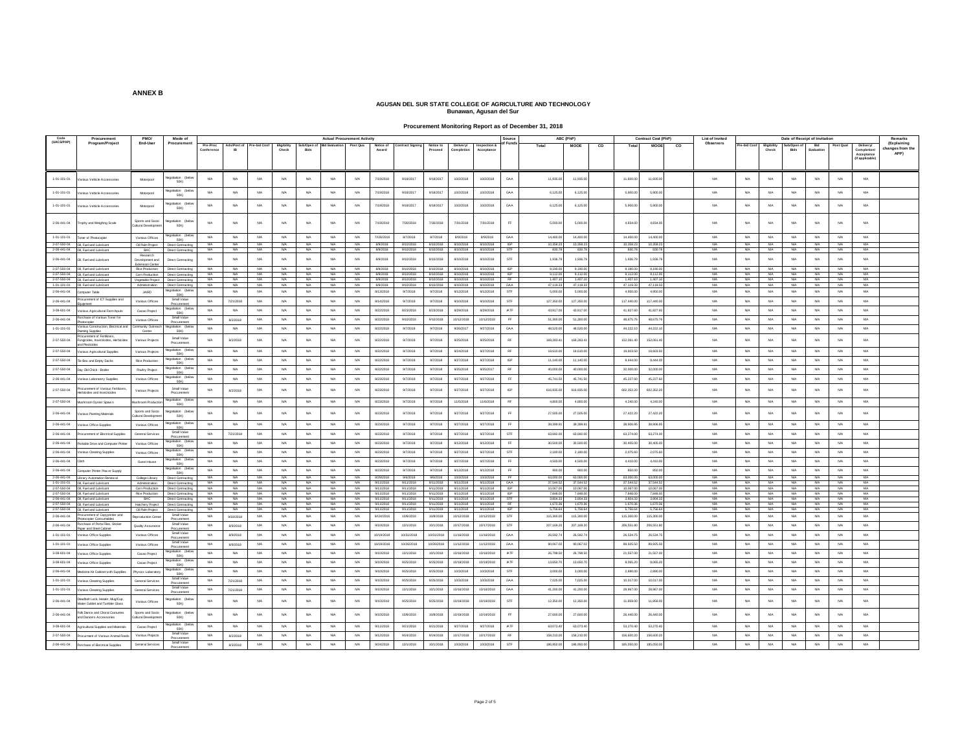**Procurement Monitoring Report as of December 31, 2018**

| Code                | Procurement                                                     | PMO/                                         | Mode of                                  |                        |                 |                   |                            |                            |                  | <b>Actual Procurement Activity</b> |                        |                         |                        |                         |                        | Source           |                    | ABC (PhP)            |    |                      | <b>Contract Cost (PhP)</b> |    | List of Invited |                         |                      |                        | Date of Receipt of Invitation |             |                             | Remarks                 |
|---------------------|-----------------------------------------------------------------|----------------------------------------------|------------------------------------------|------------------------|-----------------|-------------------|----------------------------|----------------------------|------------------|------------------------------------|------------------------|-------------------------|------------------------|-------------------------|------------------------|------------------|--------------------|----------------------|----|----------------------|----------------------------|----|-----------------|-------------------------|----------------------|------------------------|-------------------------------|-------------|-----------------------------|-------------------------|
| (UACS/PAP)          | Program/Project                                                 | End-User                                     | Procurement                              | Pre-Proc               | Ads/Post of     | Pre-bid Conf      |                            | Sub/Open of Bid Evaluation |                  | Post Qua                           |                        | <b>Contract Signing</b> |                        |                         | Inspection &           | of Funds         | Total              | <b>MOOE</b>          | co | Total                | <b>MOOF</b>                | co | Observers       | Pre-bid Conf            |                      | Sub/Onen of            | <b>Bid</b>                    | Post Qua    |                             | (Explaining             |
|                     |                                                                 |                                              |                                          |                        |                 |                   | <b>Bigibility</b><br>Check |                            |                  |                                    | Notice of<br>Award     |                         | Notice to<br>Proceed   | Delivery/<br>Completion |                        |                  |                    |                      |    |                      |                            |    |                 |                         | Eligibility<br>Check |                        |                               |             | Delivery/<br>Completion     | hanges from the<br>APP) |
|                     |                                                                 |                                              |                                          |                        |                 |                   |                            |                            |                  |                                    |                        |                         |                        |                         |                        |                  |                    |                      |    |                      |                            |    |                 |                         |                      |                        |                               |             | Acceptano<br>(If applicable |                         |
|                     |                                                                 |                                              |                                          |                        |                 |                   |                            |                            |                  |                                    |                        |                         |                        |                         |                        |                  |                    |                      |    |                      |                            |    |                 |                         |                      |                        |                               |             |                             |                         |
|                     |                                                                 |                                              |                                          |                        |                 |                   |                            |                            |                  |                                    |                        |                         |                        |                         |                        |                  |                    |                      |    |                      |                            |    |                 |                         |                      |                        |                               |             |                             |                         |
| $1 - 01 - 101 - 01$ | arious Vehicle Accessories                                      | Motorpool                                    | gotiation (belor<br><b>50K)</b>          | NA                     | <b>NA</b>       | <b>NA</b>         | <b>NA</b>                  | <b>N/A</b>                 | <b>N/A</b>       | <b>NA</b>                          | 7/19/2018              | 9/18/2017               | 9/18/2017              | 10/2/2018               | 10/2/2018              | GAA              | 11,935.00          | 11,935.00            |    | 11,600.00            | 11,600.0                   |    | <b>NA</b>       | <b>N/A</b>              | NA                   | <b>NA</b>              | <b>NA</b>                     | NA          | <b>N/A</b>                  |                         |
|                     |                                                                 |                                              |                                          |                        |                 |                   |                            |                            |                  |                                    |                        |                         |                        |                         |                        |                  |                    |                      |    |                      |                            |    |                 |                         |                      |                        |                               |             |                             |                         |
| $1 - 01 - 101 - 01$ | arious Vehicle Accessories                                      | Motorpool                                    | egotiation (belo<br>50K)                 | NA                     | <b>NA</b>       | NA                | <b>NA</b>                  | <b>NA</b>                  | <b>NA</b>        | <b>NA</b>                          | 7/19/2018              | 9/18/2017               | 9/18/2017              | 10/2/2018               | 10/2/2018              | GAA              | 6,125.00           | 6,125.00             |    | 5,900.00             | 5,900.00                   |    | <b>NA</b>       | NA                      | NA                   | NA                     | NA                            | <b>NA</b>   | <b>N/A</b>                  |                         |
|                     |                                                                 |                                              | legatiation (below                       |                        |                 |                   |                            |                            |                  |                                    |                        |                         |                        |                         |                        |                  |                    |                      |    |                      |                            |    |                 |                         |                      |                        |                               |             |                             |                         |
| $1 - 01 - 101 - 01$ | arious Vehicle Accessories                                      | Motorpool                                    | 50K)                                     | <b>NA</b>              | NA              | <b>NA</b>         | NA                         | <b>NA</b>                  | <b>NA</b>        | NA                                 | 7/19/2018              | 9/18/2017               | 9/18/2017              | 10/2/2018               | 10/2/2018              | GAA              | 6,125.00           | 6,125.00             |    | 5,900.00             | 5,900.0                    |    | <b>NA</b>       | NA                      | NA                   | NA                     | NA                            | <b>N/A</b>  | <b>N/A</b>                  |                         |
|                     |                                                                 |                                              |                                          |                        |                 |                   |                            |                            |                  |                                    |                        |                         |                        |                         |                        |                  |                    |                      |    |                      |                            |    |                 |                         |                      |                        |                               |             |                             |                         |
| $2-06-441-04$       | tophy and Weighing Scale                                        | Sports and Socio<br>Cultural Developm        | agotiation<br>(belt<br>50K)              | NA                     | NA              | NA                | <b>NA</b>                  | <b>N/A</b>                 | <b>N/A</b>       | NA                                 | 7/19/2018              | 7/30/2018               | 7/30/2018              | 7/31/2018               | 7/31/2018              | FF.              | 5,000.0            | 5,000.00             |    | 4,834.00             | 4,834.0                    |    | NA              | NA                      | NA                   | NA                     | NA                            | NA          | <b>N/A</b>                  |                         |
|                     |                                                                 |                                              |                                          |                        |                 |                   |                            |                            |                  |                                    |                        |                         |                        |                         |                        |                  |                    |                      |    |                      |                            |    |                 |                         |                      |                        |                               |             |                             |                         |
| 1-01-101-01         | <b>Doner of Photocopies</b>                                     | Various Offices                              | legotiation (belo<br>50K)                | NA                     | <b>NA</b>       | NA                | NA.                        | <b>N/A</b>                 | <b>N/A</b>       | <b>NA</b>                          | 7//26/2018             | 8/7/2018                | 8/7/2018               | 8/9/2018                | 8/9/2018               | GAA              | 14,400.00          | 14,400.00            |    | 14,400.00            | 14,400.00                  |    | NA              | NA                      | N/A                  | <b>NA</b>              | NA                            | N/A         | <b>N/A</b>                  |                         |
| 2-07-550-04         | Oil. Fuel and Lubricant                                         | Oil Palm Project                             | Direct Contracting                       | <b>NA</b>              | <b>N/A</b>      | <b>NA</b>         | NA.                        | <b>NA</b>                  | N/A              | <b>NA</b>                          | 8/9/2018               | 8/10/2018               | 8/10/2018              | 8/10/2018               | 8/10/2018              | <b>IGP</b>       | 10.358.23          | 10.358.23            |    | 10.358.23            | 10.358.23                  |    | NA              | <b>N/A</b>              | <b>NA</b>            | <b>NA</b>              | NA                            | NA          | <b>N/A</b>                  |                         |
| 2-06-441-04         | <b>N</b> Fuel and Lubrica                                       | RAC<br>Research                              | Direct Cont                              | N/A                    | <b>NA</b>       | <b>NAMA</b>       | <b>NA</b>                  | <b>NA</b>                  | <b>NA</b>        | <b>NA</b>                          | 8/9/2018               | 8/10/2018               | 8/10/2018              | 8/10/2018               | 8/10/2018              | STF              | 830.7              | 830.78               |    | 830.78               | 830.7                      |    | NA              | <b>NA</b>               | N/A                  | <b>NA</b>              | <b>NA</b>                     | NA          | <b>N/A</b>                  |                         |
| $2.06 - 441 - 04$   | II, Fuel and Lubricant                                          | Development and                              | Direct Contracting                       | NA                     | NA              | NA                | N/A                        | <b>NA</b>                  | <b>NA</b>        | N/A                                | 8/9/2018               | 8/10/2018               | 8/10/2018              | 8/10/2018               | 8/10/2018              | ${\tt STF}$      | 1,936.7            | 1,936.79             |    | 1,936.79             | 1,936.7                    |    | NA              | NA                      | NA                   | <b>NA</b>              | <b>NA</b>                     | NA          | $_{\sf NIA}$                |                         |
|                     | 2-07-550-04 OIL Fuel and Lubricant                              | <b>Priensinn Cente</b><br>Rice Production    | Direct Contracting                       | <b>NA</b>              | <b>N/A</b>      | <b>NA</b>         | <b>NA</b>                  | <b>NA</b>                  | N/A              | <b>NA</b>                          | 8/9/2018               | 8/10/2018               | 8/10/2018              | 8/10/2018               | 8/10/2018              | <b>IGP</b>       | 9.190.00           | 9.190.00             |    | 9,190.00             | 9.190.00                   |    | NA              | <b>N/A</b>              | N/A                  | <b>NA</b>              | <b>NA</b>                     | NA          | <b>N/A</b>                  |                         |
|                     | 2-07-550-04 OI, Fuel and Lubricant                              | Com Production                               | Direct Contracting                       | <b>NA</b>              | <b>NA</b>       | NA <sup>1</sup>   | <b>NA</b>                  | <b>NA</b>                  | <b>NA</b>        | <b>NA</b>                          | 8/9/2018               | 8/10/2018               | 8/10/2018              | 8/10/2018               | 8/10/2018              | <b>GP</b>        | 9.112.0            | 9.112.00             |    | 9.112.00             | 9.112.00                   |    | <b>NA</b>       | <b>NA</b>               | <b>NA</b>            | <b>NA</b>              | <b>NA</b>                     | - NA        | <b>NA</b>                   |                         |
|                     | 2-07-550-04 Oil Fuel and Lubricant                              |                                              | Vegetable Project Direct Contracting     | <b>NG</b>              | NA              | N/A               | N/A                        | N/A                        | NGA              | N/A                                | 8/9/2018               | <b>R/10/2018</b>        | 8/10/2018              |                         | 8/10/2018 8/10/2018    | <b>RF</b>        | 1,407.1            | 1.407.10             |    | 1.407.10             | 1.407.10                   |    | NO              | N/A                     | N/A                  | N/A                    | N/A                           | <b>NAMA</b> | N/A                         |                         |
|                     | 1-01-101-01 OI. Fuel and Lubricant                              | Administration                               | Direct Contracting                       | <b>NA</b>              | <b>NA</b>       | NA <sup>1</sup>   | <b>NA</b>                  | <b>NA</b>                  | <b>NA</b>        | <b>NA</b>                          | 8/9/2018               | 8/10/2018               | 8/10/2018              | 8/10/2018               | 8/10/2018              | GAA              | 47.119.3           | 47.119.33            |    | 47.119.33            | 47,119.33                  |    | <b>NA</b>       | <b>NA</b>               | <b>NA</b>            | <b>NA</b>              | <b>NA</b>                     | <b>NA</b>   | <b>NA</b>                   |                         |
| 2-06-441-04         | omputer Table                                                   | JAIRD                                        | Negotiation (below<br>50K)               | <b>NA</b>              | <b>N/A</b>      | NA                | <b>NA</b>                  | <b>N/A</b>                 | <b>NA</b>        | <b>NA</b>                          | 8/13/2018              | Q7/2018                 | 9/7/2018               | 9/12/2018               | 9/12/2018              | STF              | 50000              | 5,000.00             |    | 4,950.00             | 4,950.0                    |    | MA              | NA                      | <b>NA</b>            | <b>NA</b>              | <b>NA</b>                     | <b>NA</b>   | <b>N/A</b>                  |                         |
| $2 - 06 - 441 - 04$ | rocurement of ICT Supplies and                                  | Various Offices                              | Small Value                              |                        | 7/21/2018       | NA                | N/A                        | <b>NA</b>                  | NA               | NA                                 | 8/14/2018              | 9/7/2018                | 9/7/2018               | 9/10/2018               | 9/10/2018              | STF              | 127,350.0          | 127,350.00           |    | 117,440.00           | 117,440.0                  |    | NA              | NA                      | NA                   | NA                     | NA                            | NA          | <b>N/A</b>                  |                         |
| 3-08-601-04         | suicment                                                        |                                              | Procurement<br>legotiation (belo         | NA                     | NA              | NA                | <b>NA</b>                  | <b>NA</b>                  | NA.              | NA                                 | 8/22/2018              | 8/23/2018               | 8/23/2018              | 8/29/2018               | 8/29/2018              | <b>IATF</b>      | 43,817.0           | 43,817.00            |    | 41,827.60            | 41,827.6                   |    | NA              | NA                      | NA                   | NA                     | NA                            | NA          | $_{\sf NIA}$                |                         |
|                     | arious Agricultural Farm Inputs                                 | Cacao Project                                | 50K)                                     |                        |                 |                   |                            |                            |                  |                                    |                        |                         |                        |                         |                        |                  |                    |                      |    |                      |                            |    |                 |                         |                      |                        |                               |             |                             |                         |
| $2 - 06 - 441 - 04$ | rchase of Various Toner for                                     | Various Offices                              | Small Value<br>Procurement               | NA                     | 8/2/2018        | <b>N/A</b>        | N/A                        | <b>N/A</b>                 | <b>N/A</b>       | NA                                 | 8/22/2018              | 9/10/2018               | 9/10/2018              | 10/12/2018              | 10/12/2018             | <b>FF</b>        | 51,300.0           | 51,300.00            |    | 48,675.76            | 48,675.7                   |    | <b>NA</b>       | NA                      | NA                   | NA                     | NA                            | NA          | <b>N/A</b>                  |                         |
| 1-01-101-01         | arious Construction, Bectrical and                              | ommunity Outrea                              | ation (belo<br>50K)                      | NA                     | NA              | NA                | <b>NA</b>                  | <b>NA</b>                  | <b>N/A</b>       | NA                                 | 8/22/2018              | 9/7/2018                | 9/7/2018               | 9/26/2017               | 9/27/2018              | GAA              | 48,520.00          | 48,520.00            |    | 44.222.10            | 44.222.1                   |    | NA              | NA                      | <b>N/A</b>           | NA                     | NA                            | <b>NA</b>   | <b>N/A</b>                  |                         |
|                     | ainting Supplies<br>ocurement of Fertilizers                    | Center                                       | Small Value                              |                        |                 |                   |                            |                            |                  |                                    |                        |                         |                        |                         |                        |                  |                    |                      |    |                      |                            |    |                 |                         |                      |                        |                               |             |                             |                         |
| 2-07-550-04         | ungicides, Insecticides, Herbicides<br>d Pesticides             | Various Projects                             | Procurement                              | NA                     | 8/2/2018        | <b>NA</b>         | <b>NA</b>                  | <b>N/A</b>                 | <b>NA</b>        | <b>NA</b>                          | 8/22/2018              | 9/7/2018                | 9/7/2018               | 9/25/2018               | 9/25/2018              | <b>RF</b>        | 169,283.4          | 169,283.41           |    | 152,061.40           | 152,061.4                  |    | <b>NA</b>       | <b>NA</b>               | NA                   | <b>NA</b>              | <b>NA</b>                     | NA          | <b>N/A</b>                  |                         |
| 2-07-550-04         | arious Agricultural Supples                                     | Various Projects                             | gotiation (belo                          | <b>NA</b>              | <b>NA</b>       | NA                | <b>NA</b>                  | <b>NA</b>                  | <b>N/A</b>       | NA                                 | 8/22/2018              | Q7/2018                 | 9/7/2018               | 9/24/2018               | 9/27/2018              | <b>RF</b>        | 19,610.0           | 19,610.00            |    | 19,603.50            | 19.603.54                  |    | MA              | NA                      | <b>NA</b>            | <b>NA</b>              | <b>NA</b>                     | <b>NA</b>   | <b>N/A</b>                  |                         |
|                     |                                                                 |                                              | 50K)<br>agotiation (belo                 |                        |                 |                   |                            |                            |                  |                                    |                        |                         |                        |                         |                        |                  |                    |                      |    |                      |                            |    |                 |                         |                      |                        |                               |             |                             |                         |
| $2-07-550-04$       | le Box and Empty Sacks                                          | Rice Production                              | <b>50K)</b>                              | NA                     | <b>NA</b>       | NA                | N/A                        | <b>NA</b>                  | <b>NA</b>        | NA                                 | 8/22/2018              | 9/7/2018                | 9/7/2018               | 9/27/2018               | 9/27/2018              | <b>IGP</b>       | 11,140.0           | 11,140.00            |    | 9,444.00             | 9,444.0                    |    | NA              | NA                      | NA                   | NA                     | NA                            | NA          | <b>N/A</b>                  |                         |
| $2 - 07 - 550 - 04$ | lay Old Chick - Broiler                                         | <b>Poultry Project</b>                       | legotiation (below<br><b>50K)</b>        | <b>NA</b>              | <b>NA</b>       | NA                | <b>NA</b>                  | <b>NA</b>                  | NA.              | NA                                 | 8/22/2018              | 9/7/2018                | 9/7/2018               | 9/25/2018               | 9/25/2017              | <b>RF</b>        | 40,000.0           | 40,000.00            |    | 32,000.00            | 32,000.0                   |    | NA              | $_{\rm{NA}}$            | <b>NA</b>            | NA                     | NA                            | NA          | $_{\rm NIA}$                |                         |
| 2-06-441-04         | rious Laboratory Supplies                                       | Various Offices                              | egotiation (belo                         | NA                     | NA              | <b>NA</b>         | <b>NA</b>                  | <b>N/A</b>                 | <b>N/A</b>       | <b>NA</b>                          | 8/23/2018              | 9/7/2018                | 9/7/2018               | 9/27/2018               | 9/27/2018              | <b>FF</b>        | 45.741.5           | 45.741.50            |    | 45,227.60            | 45,227.6                   |    | <b>NA</b>       | <b>N/A</b>              | <b>N/A</b>           | NA                     | NA                            | <b>N/A</b>  | <b>N/A</b>                  |                         |
|                     |                                                                 |                                              | <b>50K</b>                               |                        |                 |                   |                            |                            |                  |                                    |                        |                         |                        |                         |                        |                  |                    |                      |    |                      |                            |    |                 |                         |                      |                        |                               |             |                             |                         |
| $2-07-550-04$       | rocurement of Various Fertilizers<br>erbicides and insecticides | Various Projects                             | Small Value<br>Procurement               | NA                     | 8/2/2018        | NA                | <b>NA</b>                  | <b>NA</b>                  | <b>N/A</b>       | <b>NA</b>                          | 8/23/2018              | 9/7/2018                | 9/7/2018               | 9/27/2018               | 9/27/2018              | <b>GP</b>        | 616,935.0          | 616,935.00           |    | 602,352.20           | 602,352.2                  |    | <b>NA</b>       | NA                      | <b>NA</b>            | NA                     | <b>NA</b>                     | <b>NA</b>   | <b>N/A</b>                  |                         |
| 2-07-550-04         |                                                                 |                                              |                                          | NA                     | NA              | <b>NA</b>         | <b>NA</b>                  | <b>NA</b>                  | <b>N/A</b>       | <b>NA</b>                          | 8/23/2018              | 9/7/2018                | 9/7/2018               | 11/5/2018               | 11/6/2018              | <b>RF</b>        | 4,800.00           | 4,800.00             |    | 4,240.00             | 4.240.00                   |    | NA              | <b>N/A</b>              | NA                   | NA                     | NA                            | <b>N/A</b>  | <b>N/A</b>                  |                         |
|                     | shroom Oyster Spaw                                              | lushroom Producti                            | legotiation (below<br>50K)               |                        |                 |                   |                            |                            |                  |                                    |                        |                         |                        |                         |                        |                  |                    |                      |    |                      |                            |    |                 |                         |                      |                        |                               |             |                             |                         |
| $2 - 06 - 441 - 04$ | srious Painting Materials                                       | Sports and Socio<br><b>Diffural Develope</b> | agotiation (below<br><b>50K)</b>         | NA                     | NA              | NA                | N/A                        | <b>NA</b>                  | <b>NA</b>        | NA                                 | 8/23/2018              | 9/7/2018                | 9/7/2018               | 9/27/2018               | 9/27/2018              | FF.              | 27,505.0           | 27,505.00            |    | 27,422.20            | 27,422.2                   |    | NA              | NA                      | NA                   | <b>NA</b>              | <b>NA</b>                     | NA          | <b>N/A</b>                  |                         |
|                     |                                                                 |                                              | agotiation (belo                         |                        |                 |                   |                            |                            |                  |                                    |                        |                         |                        |                         |                        |                  |                    |                      |    |                      |                            |    |                 |                         |                      |                        |                               |             |                             |                         |
| 2-06-441-04         | arious Office Supples                                           | Various Offices                              | <b>50K)</b>                              | NA                     | NA              | <b>NA</b>         | <b>NA</b>                  | <b>NA</b>                  | <b>N/A</b>       | NA                                 | 8/23/2018              | 9/7/2018                | 9/7/2018               | 9/27/2018               | 9/27/2018              | FF.              | 39.399.9           | 39,399.91            |    | 38,906.95            | 38,906.9                   |    | NO              | NA                      | NA                   | NA                     | NA                            | <b>NA</b>   | <b>N/A</b>                  |                         |
| $2 - 06 - 441 - 04$ | ocurement of Electrical Supples                                 | General Services                             | Small Value<br>Procurement               | NA                     | 7/21/2018       | NA                | <b>NA</b>                  | <b>NA</b>                  | <b>NA</b>        | NA                                 | 8/23/2018              | 9/7/2018                | 9/7/2018               | 9/27/2018               | 9/27/2018              | STF              | 63,692.0           | 63,692.00            |    | 63,274.00            | 63,274.0                   |    | NA              | NA                      | <b>N/A</b>           | NA                     | NA                            | NA          | <b>N/A</b>                  |                         |
| $2-06-441-04$       | ortable Drive and Computer Printer                              | Various Offices                              | agotiation (beli                         | NA                     | NA              | NA                | <b>NA</b>                  | <b>NA</b>                  | <b>NA</b>        | NA                                 | 8/23/2018              | 9/7/2018                | 9/7/2018               | 9/12/2018               | 9/12/2018              | FF.              | 30,500.00          | 30,500.00            |    | 30,405.00            | 30,405.00                  |    | <b>NA</b>       | NA                      | NA                   | NA                     | NA                            | <b>NA</b>   | <b>N/A</b>                  |                         |
| 2-06-441-04         | arious Cleaning Supples                                         | Various Offices                              | 50K<br>cotiation (below                  | NA                     | NA              | <b>NA</b>         | <b>NA</b>                  | <b>N/A</b>                 | <b>N/A</b>       | <b>NA</b>                          | 8/23/2018              | 9/7/2018                | 9/7/2018               | 9/27/2018               | 9/27/2018              | STF              | 2,180.0            | 2,180.00             |    | 2,075.60             | 2.075.6                    |    | <b>NA</b>       | N/A                     | NA                   | NA                     | NA                            | <b>N/A</b>  | <b>N/A</b>                  |                         |
|                     |                                                                 |                                              | 50K)                                     |                        |                 |                   |                            |                            |                  |                                    |                        |                         |                        |                         |                        |                  |                    |                      |    |                      |                            |    |                 |                         |                      |                        |                               |             |                             |                         |
| 2-06-441-04         |                                                                 | Guest House                                  | tion (belo<br>50K)                       | <b>NA</b>              | <b>NA</b>       | <b>N/A</b>        | <b>NA</b>                  | <b>NA</b>                  | <b>N/A</b>       | <b>NA</b>                          | 8/23/2018              | Q7/2018                 | 9/7/2018               | 9/27/2018               | 9/27/2018              | FF.              | 4,500.00           | 4.500.00             |    | 4,410.00             | 4,410.00                   |    | <b>NA</b>       | NA                      | <b>N/A</b>           | NA                     | <b>NA</b>                     | <b>NA</b>   | <b>N/A</b>                  |                         |
| $2-06-441-04$       | omputer Printer Pow er Supply                                   |                                              | legotiation                              | $_{\rm{NA}}$           | NA              | NA                | N/A                        | <b>NA</b>                  | NA.              | NA                                 | 8/23/201               | 9/7/2018                | 9/7/2018               | 9/12/2018               | 9/12/2018              | $\mathsf{FF}$    | 900.0              | 900.00               |    | 850.00               | 850.0                      |    | <b>NA</b>       | ΝA                      | <b>NA</b>            | $_{\rm NA}$            | $_{\rm NA}$                   | NA          | $_{\sf NIA}$                |                         |
| 2-06-441-04         | Library Automation Renew al                                     | College Library                              | <b>50K)</b><br>Direct Contracting        | NA                     | NA              | NA                | <b>NA</b>                  | <b>NA</b>                  | NA               | <b>NA</b>                          | 8/29/2018              | 9/6/2018                | 9/6/2018               | 10/3/2018               | 10/3/2018              | FF.              | 63,000.00          | 63,000.00            |    | 63,000.00            | 63,000.0                   |    | NA              | NA                      | <b>N/A</b>           | NA                     | NA                            | NA          | <b>N/A</b>                  |                         |
|                     | 1-01-101-01 OI, Fuel and Lubricant                              |                                              | Administration Direct Contracting        | NA                     | <b>NA</b>       | <b>NA</b>         | <b>NA</b>                  | <b>NA</b>                  | <b>NA</b>        | <b>NA</b>                          | 9/11/2018              | 9/11/2018               | 9/11/2018              | 9/11/2018               | 9/11/2018              | GAA              | 37.544.5           | 37.544.52            |    | 37.544.52            | 37.544.52                  |    | <b>NA</b>       | <b>NA</b>               | <b>NA</b>            | <b>NA</b>              | <b>NA</b>                     | <b>NA</b>   | <b>NA</b>                   |                         |
| 2-07-550-04         | Oil, Fuel and Lubricant                                         |                                              | Corn Production Direct Contracting       | NA                     | <b>NA</b>       | NA                | <b>NA</b>                  | <b>NA</b>                  | <b>N/A</b>       | <b>NA</b>                          | 9/11/2018              | 9/11/2018               | 9/11/2018              | 9/11/2018               | 9/11/2018              | $_{\text{ISP}}$  | 10,067.0           | 10,067.00            |    | 10,067.00            | 10,067.00                  |    | NA              | <b>N/A</b>              | <b>N/A</b>           | <b>NA</b>              | NA                            | NA          | <b>N/A</b>                  |                         |
| 2-07-550-04         | Oil. Fuel and Lubricant<br>2-06-441-04 OIL Fuel and Lubricant   | Rice Production<br>BAC                       | Direct Contracting<br>Direct Contracting | <b>NA</b><br><b>NA</b> | <b>NA</b><br>NA | <b>N/A</b><br>N/A | <b>NA</b><br>NA.           | <b>NA</b><br><b>NA</b>     | <b>NA</b><br>N/A | <b>NA</b><br><b>NA</b>             | 9/11/2018<br>9/11/2018 | 9/11/2018<br>9/11/2018  | 9/11/2018<br>9/11/2018 | 9/11/2018<br>9/11/2018  | 9/11/2018<br>9/11/2018 | <b>GP</b><br>STF | 7,848.0<br>3,804.3 | 7.848.00<br>3.804.33 |    | 7,848.00<br>3.804.33 | 7,848.0<br>3,804.3         |    | <b>NA</b><br>NA | <b>NA</b><br><b>N/A</b> | <b>NA</b><br>N/A     | <b>NA</b><br><b>NA</b> | <b>NA</b><br>NA               | NA<br>NA    | <b>N/A</b><br><b>N/A</b>    |                         |
|                     | 2-07-550-04 OIL Fuel and Lubricant                              | Hatchery Project                             | Direct Contracting                       | <b>N/A</b>             | <b>N/A</b>      | NA                | <b>NA</b>                  | <b>NA</b>                  | NA               | NA                                 | 9/11/2018              | 9/11/2018               | 9/11/2018              | 9/11/2018               | 9/11/2018              | RF               | 1,670.3            | 1,670.36             |    | 1,670.36             | 1,670.3                    |    | NA              | NA                      | <b>NA</b>            | NA                     | NA                            | NA          | <b>NA</b>                   |                         |
|                     | 2-07-550-04 OIL Fuel and Lubricant                              | Oil Palm Project                             | Direct Contracting                       | <b>NA</b>              | <b>N/A</b>      | NA                | <b>NA</b>                  | <b>NA</b>                  | <b>N/A</b>       | <b>NA</b>                          | 9/11/2018              | 9/11/2018               | 9/11/2018              |                         | 9/11/2018 9/11/2018    | <b>IGP</b>       | 5.756.6            | 5.756.64             |    | 5,756.64             | 5,756.64                   |    | NA              | <b>N/A</b>              | N/A                  | N/A                    | <b>NA</b>                     | NA          | <b>N/A</b>                  |                         |
| 2-06-441-04         | ocurement of Copyprinter and<br>stocopier Consumable            | Rentroduction Center                         | Small Value<br>Procurement               | <b>NA</b>              | 9/18/2018       | NA                | <b>NA</b>                  | <b>NA</b>                  | N/A              | <b>NA</b>                          | 9/24/2018              | 10/8/2018               | 10/8/2018              | 10/12/2018              | 10/12/2018             | STF              | 115,300.00         | 115,300.00           |    | 115,300.00           | 115,300.0                  |    | NA              | <b>NA</b>               | N/A                  | <b>NA</b>              | NA                            | N/A         | <b>N/A</b>                  |                         |
| 2-06-441-04         | urchase of Porta Files, Sticker                                 | Quality Assuranc                             | Small Value                              | NA                     | 8/9/2018        | NA                | <b>NA</b>                  | N/A                        | <b>N/A</b>       | NA                                 | 9/10/2018              | 10/1/2018               | 10/1/2018              | 10/17/2018              | 10/17/2018             | STF              | 207,169.2          | 207 169 20           |    | 206.551.80           | 206.551.8                  |    | NO              | NA                      | NA                   | NA                     | NA                            | <b>NA</b>   | <b>N/A</b>                  |                         |
|                     | aper and Steel Cabine                                           |                                              | Procuremen<br>Small Value                |                        |                 |                   |                            |                            |                  |                                    |                        |                         |                        |                         |                        |                  |                    |                      |    |                      |                            |    |                 |                         |                      |                        |                               |             |                             |                         |
| 1-01-101-01         | /arious Office Supples                                          | Various Offices                              | Procurement                              | NA                     | 8/9/2018        | NA                | N/A                        | <b>NA</b>                  | <b>N/A</b>       | NA                                 | 10/19/2018             | 10/31/2018              | 10/31/2018             | 11/16/2018              | 11/16/2018             | GAA              | 26,592.7           | 26,592.74            |    | 26,534.75            | 26,534.7                   |    | <b>NA</b>       | NA                      | <b>N/A</b>           | NA                     | NA                            | NA          | <b>N/A</b>                  |                         |
| $1 - 01 - 101 - 01$ | arious Office Supples                                           | Various Offices                              | Small Value<br>Procurement               | NA                     | 8/9/2018        | NA                | <b>NA</b>                  | NA                         | <b>NA</b>        | NA                                 | 10/19/2018             | 10/26/2018              | 10/26/2018             | 11/12/2018              | 11/12/2018             | GAA              | 90,067.0           | 90,067.02            |    | 89,925.50            | 89,925.50                  |    | NA              | NA                      | <b>N/A</b>           | NA                     | NA                            | NA          | <b>N/A</b>                  |                         |
| 3-08-601-04         | stous Office Supples                                            | Canan Project                                | legotiation (below<br>SOK                | NA                     | N/A             | NA                | <b>NA</b>                  | <b>N/A</b>                 | <b>N/A</b>       | <b>NA</b>                          | 9/10/2018              | 10/1/2018               | 10/1/2018              | 10/16/2018              | 10/16/2018             | <b>IATE</b>      | 26,798.5           | 26,798.50            |    | 21,557.00            | 21,557.0                   |    | <b>NA</b>       | <b>NA</b>               | <b>NA</b>            | <b>NA</b>              | <b>NA</b>                     | <b>NA</b>   | <b>N/A</b>                  |                         |
| 3-08-601-04         |                                                                 |                                              | tion (beli                               | NA                     | NA              | <b>NA</b>         | NA.                        | <b>N/A</b>                 | N/A              | <b>NA</b>                          | 9/10/2018              | 9/25/2018               | 9/25/2018              | 10/19/2018              | 10/19/2018             | <b>IATF</b>      | 13,650.70          | 13,650.70            |    | 9.065.20             | 9.065.20                   |    | NA              | <b>N/A</b>              | <b>NA</b>            | NA.                    | NA                            | NA          | <b>N/A</b>                  |                         |
|                     | arious Office Supples                                           | Cacao Projec                                 | 50K<br>diation (help)                    |                        |                 |                   |                            |                            |                  |                                    |                        |                         |                        |                         |                        |                  |                    |                      |    |                      |                            |    |                 |                         |                      |                        |                               |             |                             |                         |
| 2-06-441-04         | ledicine Kit Cabinet with Supplies                              | Physics Laborator                            | 50K)                                     | NA                     | <b>NA</b>       | NA                | N/A                        | <b>NA</b>                  | NA.              | $_{\rm NA}$                        | 9/10/2018              | 9/25/2018               | 9/25/2018              | 10/3/2018               | 10/3/2018              | STF              | 3,000.0            | 3,000.00             |    | 2,890.0              | 2,890.0                    |    | MA              | $_{\rm NA}$             | <b>NA</b>            | NA                     | NA                            | NA          | <b>N/A</b>                  |                         |
| $1 - 01 - 101 - 01$ | arious Cleaning Supplies                                        | General Services                             | Small Value                              | NA                     | 7/21/2018       | NA                | N/A                        | <b>NA</b>                  | <b>NA</b>        | NA                                 | 9/10/201               | 9/25/2018               | 9/25/201               | 10/3/2018               | 10/3/2018              | GAA              | 7,025.0            | 7,025.00             |    | 10,017.0             | 10,017.0                   |    | NA              | NA                      | NA                   | <b>NA</b>              | <b>NA</b>                     | NA          | <b>N/A</b>                  |                         |
| $1 - 01 - 101 - 01$ | arious Cleaning Supples                                         | General Services                             | Procurement<br>Small Value               | NA                     | 7/21/2018       | NA                | <b>NA</b>                  | <b>NA</b>                  | <b>NA</b>        | NA                                 | 9/10/2018              | 10/1/2018               | 10/1/2018              | 10/16/2018              | 10/16/2018             | GAA              | 41,200.00          | 41,200.00            |    | 28,967.00            | 28,967.0                   |    | NA              | NA                      | NA                   | NA                     | NA                            | NA          | <b>N/A</b>                  |                         |
|                     |                                                                 |                                              | Procurement                              |                        |                 |                   |                            |                            |                  |                                    |                        |                         |                        |                         |                        |                  |                    |                      |    |                      |                            |    |                 |                         |                      |                        |                               |             |                             |                         |
| $2-06-441-04$       | eadbolt Lock, Heater, Mug/Ou<br>later Gobiet and Tumbler Glass  | Various Offices                              | agotiation (belo<br><b>50K)</b>          | NA                     | <b>NA</b>       | <b>NA</b>         | <b>NA</b>                  | <b>NA</b>                  | <b>N/A</b>       | <b>NA</b>                          | 9/10/2018              | 9/25/2018               | 9/25/2018              | 10/19/2018              | 10/19/2018             | STF              | 12,350.0           | 12,350.00            |    | 11,859.00            | 11,859.0                   |    | <b>NA</b>       | NA                      | <b>N/A</b>           | <b>NA</b>              | <b>NA</b>                     | <b>N/A</b>  | <b>N/A</b>                  |                         |
|                     |                                                                 |                                              |                                          |                        |                 |                   |                            |                            |                  |                                    |                        |                         |                        |                         |                        |                  |                    |                      |    |                      |                            |    |                 |                         |                      |                        |                               |             |                             |                         |
| $2 - 06 - 441 - 04$ | olk Dance and Choral Costumes<br>nd Dancers Accessories         | Sports and Socio<br>Qultural Developm        | gotiation (belo<br>50K)                  | NA                     | NA              | NA                | <b>NA</b>                  | <b>NA</b>                  | <b>NA</b>        | NA                                 | 9/10/2018              | 10/8/2018               | 10/8/2018              | 10/19/2018              | 10/19/2018             | FF.              | 27,600.0           | 27,600.00            |    | 26,440.00            | 26,440.0                   |    | NA              | NA                      | NA                   | NA                     | NA                            | <b>N/A</b>  | <b>N/A</b>                  |                         |
|                     |                                                                 |                                              | gotiation (belo                          |                        |                 |                   |                            |                            |                  |                                    |                        |                         |                        |                         |                        |                  |                    |                      |    |                      |                            |    |                 |                         |                      |                        |                               |             |                             |                         |
| 3-08-601-04         | tricultural Sunnies and Material                                | Canan Project                                |                                          | NA                     | <b>NA</b>       | NA                | N/A                        | <b>NA</b>                  | <b>N/A</b>       | <b>NA</b>                          | 9/11/2018              | 9/21/2018               | 9/21/2018              | 9/27/2018               | 9/27/2018              | <b>IATE</b>      | 63,073.4           | 63.073.40            |    | 53,270.40            | 53,270.4                   |    | NA              | <b>N/A</b>              | N/A                  | N/A                    | <b>NA</b>                     | NA          | <b>N/A</b>                  |                         |
| 2.07.550.04         | ocurment of Various Animal Feed                                 | Various Projects                             | Small Value<br>Procurement               | N/A                    | 8/2/2018        | <b>N/A</b>        | <b>NA</b>                  | N/A                        | <b>N/A</b>       | NA                                 | 9/12/2018              | 9/24/2018               | 9/24/2018              | 10/17/2018              | 10/17/2018             | <b>RF</b>        | 158.210.0          | 158.210.00           |    | 156,600.20           | 156,600.20                 |    | NO              | <b>N/A</b>              | <b>N/A</b>           | NA                     | NA                            | <b>NA</b>   | <b>N/A</b>                  |                         |
| $2-06-441-04$       | urchase of Bectrical Supplies                                   | General Services                             |                                          | NA                     | 8/3/2018        | NA                | NA                         | <b>NA</b>                  | <b>NA</b>        | NA                                 | 9/24/2018              | 10/1/2018               | 10/1/2018              | 10/3/2018               | 10/3/2018              | STF              | 186,950.0          | 186,950.00           |    | 185,050.00           | 185,050.0                  |    | NA              | NA                      | NA                   | NA                     | NA                            | NA          | <b>N/A</b>                  |                         |
|                     |                                                                 |                                              | Procurement                              |                        |                 |                   |                            |                            |                  |                                    |                        |                         |                        |                         |                        |                  |                    |                      |    |                      |                            |    |                 |                         |                      |                        |                               |             |                             |                         |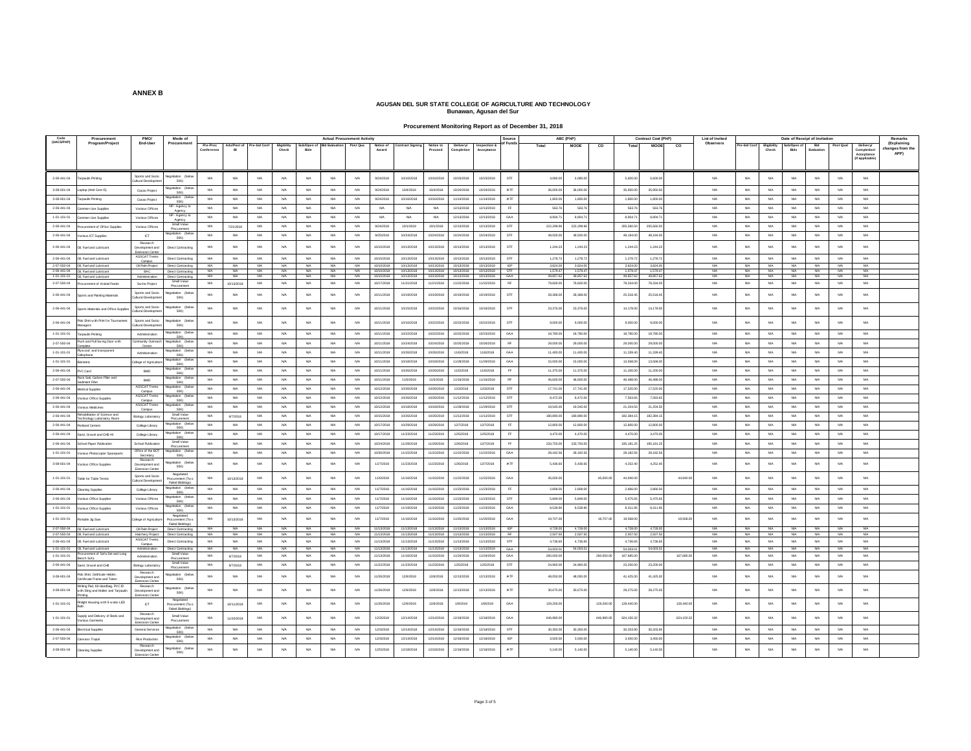**Procurement Monitoring Report as of December 31, 2018**

| Code<br>(UACS/PAP)  | Procuremen                                                            | <b>PMO/</b>                                         | Mode of                                                |                        |                                       | <b>Actual Procurement Activity</b> |                             |                         |                            |                 |                          |                          |                         |                                | Source                    | ABC (PhP)                |                                            | <b>Contract Cost (PhP)</b> | List of Invited     |                         |                          |                      | Date of Receipt of Invitatio |                   |                  | Remarks                                                   |                                       |
|---------------------|-----------------------------------------------------------------------|-----------------------------------------------------|--------------------------------------------------------|------------------------|---------------------------------------|------------------------------------|-----------------------------|-------------------------|----------------------------|-----------------|--------------------------|--------------------------|-------------------------|--------------------------------|---------------------------|--------------------------|--------------------------------------------|----------------------------|---------------------|-------------------------|--------------------------|----------------------|------------------------------|-------------------|------------------|-----------------------------------------------------------|---------------------------------------|
|                     | Program/Project                                                       | End-User                                            | Procuremen                                             | Pre-Proc<br>Conference | Ads/Post of Pre-bid Conf<br><b>IR</b> |                                    | <b>Eligibility</b><br>Check | Bids                    | Sub/Open of Bid Evaluation | Post Qua        | Notice of<br>Award       | <b>Contract Signing</b>  | Notice to<br>Proceed    | Delivery/<br><b>Completion</b> | Inspection &<br>Acceptanc | of Fund                  | Total<br>MOOE                              | Total<br>CO                | <b>MOOE</b><br>co   | Observers               | re-bid Conf              | Eligibility<br>Check | Sub/Open o<br>Bids           | Bid<br>Evaluation | Post Qual        | Delivery/<br>Completion/<br>Acceptance<br>(If applicable) | (Explaining<br>anges from the<br>APP) |
| $2 - 06 - 441 - 04$ | roaulin Printing                                                      | Sports and Socio<br>ultural Developm                | potiation (below<br>50K)                               | <b>NA</b>              | <b>NA</b>                             | <b>NA</b>                          | <b>NA</b>                   | <b>NA</b>               | NA                         | <b>NA</b>       | 9/24/2018                | 10/16/2018               | 10/16/2018              | 10/23/2018                     | 10/23/2018                | <b>STF</b>               | 4.080.00<br>4,080.0                        | 5,600.00                   | 5,600.0             | <b>NA</b>               | <b>NA</b>                | <b>NA</b>            | NA                           | <b>NA</b>         | NW               | <b>N/A</b>                                                |                                       |
| 3-08-601-04         | aptop (Intel Core 6)                                                  | Cacao Project                                       | station the<br>50K)                                    | NA                     | <b>NA</b>                             | NA                                 | <b>NA</b>                   | <b>NA</b>               | N/A                        | <b>NA</b>       | 9/24/2018                | 10/4/2018                | 10/4/2018               | 10/24/2018                     | 10/24/2018                | <b>IATE</b>              | 36,000.0<br>36,000.0                       | 35,950.0                   | 35,950.0            | NA                      | <b>N/A</b>               | <b>N/A</b>           | <b>NA</b>                    | NA                | NA               | <b>N/A</b>                                                |                                       |
| 3-08-601-04         | <b>Irpaulin Printing</b>                                              | Cacao Project                                       | 50K)                                                   | NA                     | NA                                    | NA                                 | <b>NA</b>                   | <b>NA</b>               | <b>NA</b>                  | NA              | 9/24/2018                | 10/16/2018               | 10/16/2018              | 11/14/2018                     | 11/14/2018                | IATF                     | 1,800.00<br>1,800.0                        | 1,800.00                   | 1,800.00            | NA                      | NA                       | <b>N/A</b>           | NA                           | NA                | NA               | <b>N/A</b>                                                |                                       |
| $2-06-441-04$       | mmon-Use Supplies                                                     | Various Offices                                     | P - Agency t                                           | <b>NA</b>              | NA                                    | <b>N/A</b>                         | <b>NA</b>                   | NA                      | <b>N/A</b>                 | <b>NA</b>       | NA                       | NA                       | <b>N/A</b>              | 12/13/2018                     | 12/13/2018                |                          | 563.76<br>563.7                            | 563.7                      | 563.76              | <b>NA</b>               | NA                       | <b>N/A</b>           | <b>NA</b>                    | <b>NA</b>         | NA.              | <b>N/A</b>                                                |                                       |
| 1-01-101-01         | mmon-Use Supplier                                                     | Various Office                                      | NP - Agency to<br>Agency                               | <b>NA</b>              | N/A                                   | N/A                                | <b>NA</b>                   | <b>N/A</b>              | N/A                        | NA              | N/A                      | <b>NA</b>                | <b>N/A</b>              | 12/13/201                      | 12/13/2018                | GAA                      | 8,904.<br>8.904.7                          | 8.904.7                    | 8,904.7             | <b>NA</b>               | <b>N/A</b>               | <b>N/A</b>           | <b>NA</b>                    | <b>NA</b>         | N/A              | <b>N/A</b>                                                |                                       |
| 2-06-441-04         | ocurement of Office Supple                                            | Various Offices                                     | Small Value<br>Procurement                             | <b>NA</b>              | 7/21/2018                             | NA                                 | <b>NA</b>                   | NA.                     | N/A                        | NA              | 9/24/2018                | 10/1/2018                | 10/1/2018               | 12/13/2018                     | 12/13/2018                | STF                      | 222.299.96<br>222 299.9                    | 205.560.50                 | 205,560.50          | N/A                     | <b>N/A</b>               | N/A                  | NA.                          | NA                | NA               | <b>N/A</b>                                                |                                       |
| $2-06-441-04$       | /arious ICT Supplies                                                  | ICT<br>Research                                     | egotiation (be<br>50K)                                 | NA                     | NA                                    | NA                                 | NA                          | <b>NA</b>               | NA                         | NA              | 9/25/2018                | 10/24/2018               | 10/24/201               | 10/24/2018                     | 10/24/2018                | STF                      | 49,500.0<br>49,500.0                       | 48,194.0                   | 48,194.0            | NA                      | NA                       | <b>N/A</b>           | NA                           | NA                | NA               | <b>N/A</b>                                                |                                       |
| 2-06-441-04         | II, Fuel and Lubricant                                                | Development and<br>Extension Cente<br>ASSCAT Trento | <b>Direct Contracting</b>                              | NA                     | <b>NA</b>                             | <b>N/A</b>                         | <b>NA</b>                   | <b>NA</b>               | <b>N/A</b>                 | <b>NA</b>       | 10/10/2018               | 10/13/2018               | 10/13/2018              | 10/13/2018                     | 10/13/2018                | <b>STF</b>               | 1,244.23<br>1,244.2                        | 1,244.23                   | 1,244.23            | NA                      | <b>N/A</b>               | <b>N/A</b>           | <b>NA</b>                    | <b>NA</b>         | <b>N/A</b>       | <b>N/A</b>                                                |                                       |
| $2 - 06 - 441 - 04$ | Oil. Fuel and Lubricant<br>2-07-550-04 OIL Fuel and Lubricant         | Campus<br>Oil Palm Project                          | Direct Contracting<br>Direct Contracting               | <b>NA</b><br><b>NA</b> | <b>NA</b><br><b>NA</b>                | NA<br><b>NIA</b>                   | <b>NA</b><br><b>NA</b>      | <b>N/A</b><br><b>NA</b> | NA<br><b>N/A</b>           | <b>NA</b><br>NA | 10/10/2018<br>10/10/2018 | 10/13/2018<br>10/13/2018 | 0/13/2018<br>10/13/2018 | 10/13/201<br>10/13/2018        | 10/13/2018<br>10/13/2018  | <b>STF</b><br><b>IGP</b> | 1,278.72<br>1.278.7<br>3.824.00<br>3.824.0 | 1,278.72<br>3.824.00       | 1.278.7<br>3,824.00 | <b>NA</b><br><b>N/A</b> | <b>N/A</b><br><b>N/A</b> | <b>NA</b><br>N/A     | <b>NA</b><br><b>NA</b>       | <b>NA</b><br>NA   | NA.<br>NA        | <b>N/A</b><br><b>N/A</b>                                  |                                       |
|                     | 2-06-441-04 OIL Fuel and Lubricant                                    | BAC                                                 | Direct Contracting                                     | <b>NA</b>              | NA                                    | NA                                 | <b>NA</b>                   | <b>NA</b>               | <b>NA</b>                  | <b>NA</b>       | 10/10/2018               | 10/13/2018               | 10/13/2018              | 10/13/2018                     | 10/13/2018                | STF                      | 1,579.47<br>1,579.4                        | 1,579.47                   | 1,579.4             | <b>NA</b>               | NA                       | <b>NA</b>            | NA                           | NA                | NA               | <b>N/A</b>                                                |                                       |
| 1-01-101-01         | OI. Fuel and Lubricant                                                | Administration                                      | Direct Contracting<br>Small Value                      | <b>N/A</b>             | <b>NA</b>                             | NA                                 | <b>NA</b>                   | <b>N/A</b>              | N/A                        | NA              | 10/10/2018               | 10/13/2018               | 10/13/2018              | 10/13/2018                     | 10/13/2018                | GAA                      | 49,857.62<br>49.857.8                      | 49,857.63                  | 49.857.62           | NA                      | N/A                      | NA.                  | NA.                          | NA                | NA               | <b>N/A</b>                                                |                                       |
| 2-07-550-04         | couragent of Animal Feed-                                             | Swine Project                                       | <b>Yocuremen</b>                                       | <b>N/A</b>             | 10/13/2018                            | N/A                                | <b>NA</b>                   | <b>N/A</b>              | N/A                        | N/A             | 10/17/2018               | 11/21/2018               | 11/21/2018              | 11/22/201                      | 11/22/2018                | <b>RF</b>                | 79,600.0<br>79,600.0                       | 78,334.0                   | 78,334.00           | NA                      | <b>N/A</b>               | <b>N/A</b>           | <b>NA</b>                    | <b>NA</b>         | <b>N/A</b>       | <b>N/A</b>                                                |                                       |
| $2-06-441-04$       | ports and Painting Materials                                          | Sports and Soci<br>ultural Developm                 | 50K)                                                   | NA                     | NA                                    | NA                                 | <b>NA</b>                   | <b>N/A</b>              | <b>NA</b>                  | NA              | 10/11/201                | 10/19/2018               | 0/19/201                | 10/19/201                      | 10/19/201                 | STF                      | 28,368.<br>28,368                          | 25,518.                    | 25,518.4            | <b>NA</b>               | N/A                      | <b>NA</b>            | <b>NA</b>                    | <b>NA</b>         | NA               | <b>N/A</b>                                                |                                       |
| $2-06-441-04$       | orts Materials and Office Suppler                                     | Sports and Socio<br><b>Jultural Developm</b>        | otiation (be<br>50K)                                   | NA                     | NA                                    | <b>N/A</b>                         | N/A                         | <b>N/A</b>              | NA                         | NA              | 10/11/2018               | 10/15/2018               | 10/15/2018              | 10/16/2018                     | 10/16/201                 | STF                      | 23,376.0<br>23,376.0                       | 14,178.                    | 14,178.00           | <b>NA</b>               | NA                       | <b>NA</b>            | NA                           | NA                | NA               | <b>N/A</b>                                                |                                       |
| $2-06-441-04$       | blo Shirt with Print for Tourname<br>inagers                          | Sports and Socio<br><b>Quitural Developm</b>        | station the<br>50K)                                    | NA                     | NA                                    | NA                                 | N/A                         | <b>N/A</b>              | NA                         | NA              | 10/11/201                | 10/16/2018               | 10/22/201               | 10/22/201                      | 10/22/2018                | STF                      | 9,000.0<br>9,000.0                         | 9,000.1                    | 9,000.00            | NA                      | NA                       | <b>NA</b>            | NA                           | NA                | NA               | $_{\rm NFA}$                                              |                                       |
| 1-01-101-01         | rpaulin Printing                                                      | Administration                                      | lation (be<br>50K)                                     | <b>NA</b>              | <b>NA</b>                             | NA                                 | <b>NA</b>                   | <b>N/A</b>              | N/A                        | NA              | 10/11/2018               | 10/22/2018               | 10/22/2018              | 10/22/2018                     | 10/23/2018                | GAA                      | 18,780.00<br>18,780.0                      | 18,780.0                   | 18,780.00           | NA                      | N/A                      | N/A                  | <b>NA</b>                    | <b>NA</b>         | NA               | <b>N/A</b>                                                |                                       |
| 2-07-550-04         | ash and Pull Swing Door with                                          | mmunity Outroz<br>Center                            | tiation the<br>50K)                                    | NA                     | <b>NA</b>                             | nata.                              | <b>NA</b>                   | <b>NA</b>               | NG                         | <b>NA</b>       | 10/11/2018               | 10/24/2018               | 10/24/2011              | 10/25/201                      | 10/26/2018                | <b>RF</b>                | 29,000.0<br>29,000.0                       | 29,000.0                   | 29,000.0            | NA                      | <b>N/A</b>               | N/A                  | <b>NA</b>                    | <b>NA</b>         | NA               | <b>N/A</b>                                                |                                       |
| $1 - 01 - 101 - 01$ | w ood and transparen<br>stophane                                      | Administration                                      | <b>50K</b>                                             | NA                     | NA                                    | NA                                 | N/A                         | <b>N/A</b>              | N/A                        | NA              | 10/11/2018               | 10/26/2018               | 0/26/201                | 11/6/2018                      | 11/6/2018                 | GAA                      | 11,400.0<br>11,400.0                       | 11,339.4                   | 11,339.4            | NA                      | NA                       | <b>NA</b>            | NA                           | NA                | NA               | <b>N/A</b>                                                |                                       |
| $1 - 01 - 101 - 01$ | ometric                                                               | ollege of Agricultur                                | otiation (be<br><b>50K</b>                             | NA                     | NA                                    | NA                                 | <b>NA</b>                   | NA                      | NA                         | NA              | 10/11/2018               | 10/18/2018               | 10/18/2018              | 11/28/2018                     | 11/29/2018                | GAA                      | 15,000.0<br>15,000.0                       | 13,568.00                  | 13,568.00           | NA                      | NA                       | <b>NA</b>            | NA                           | NA                | NA               | <b>N/A</b>                                                |                                       |
| 2-06-441-04         | VC Card                                                               | <b>RMD</b>                                          | egotiation (below<br>50K)                              | <b>NA</b>              | <b>NA</b>                             | <b>N/A</b>                         | <b>NA</b>                   | <b>NA</b>               | <b>N/A</b>                 | <b>NA</b>       | 10/11/2018               | 10/26/2018               | 0/26/201                | 11/5/2018                      | 11/6/2018                 | EF                       | 11,375.0<br>11,375.0                       | 11,200.0                   | 11,200.0            | <b>N/A</b>              | <b>N/A</b>               | <b>NA</b>            | <b>NA</b>                    | <b>NA</b>         | <b>N/A</b>       | <b>N/A</b>                                                |                                       |
| 2-07-550-04         | lock Salt, Carbon Filter and<br>iment Filter                          | BMC                                                 | gotiation (be<br>50K)                                  | <b>NA</b>              | NA.                                   | NA                                 | <b>NA</b>                   | NA.                     | N/A                        | <b>NA</b>       | 10/11/2018               | 11/5/2018                | 11/5/2018               | 11/16/2018                     | 11/16/2018                | <b>RF</b>                | 46,600.00<br>46,600.0                      | 46,488.00                  | 46,488.00           | NA                      | <b>N/A</b>               | N/A                  | <b>NA</b>                    | <b>NA</b>         | NA               | <b>N/A</b>                                                |                                       |
| $2 - 06 - 441 - 04$ | <b>Indical Supplies</b>                                               | <b>ASSCATTre</b>                                    |                                                        | NA                     | NA                                    | NA                                 | <b>NA</b>                   | <b>N/A</b>              | <b>NA</b>                  | NA              | 10/12/201                | 10/26/2018               | 10/26/201               | 12/3/2018                      | 12/3/2018                 | STF                      | 17,741.<br>17,741.0                        | 17,520.                    | 17,520.0            | NA                      | NA                       | <b>NA</b>            | NA                           | NA                | NA               | $_{\rm NFA}$                                              |                                       |
| $2.06 - 441 - 04$   | arious Office Supples                                                 | Campus<br><b>ASSCAT Tre</b>                         | 50K)<br>gotiation (b                                   | NA                     | NA                                    | NA                                 | N/A                         | <b>N/A</b>              | <b>NA</b>                  | NA              | 10/12/2018               | 10/26/2018               | 0/26/201                | 11/12/201                      | 11/12/201                 | STF                      | 8,472.0<br>8,472.0                         | 7,563.6                    | 7,563.6             | $\mathsf{NIA}$          | NA                       | <b>NA</b>            | NA                           | NA                | <b>NA</b>        | <b>N/A</b>                                                |                                       |
| 2-06-441-04         | arious Medicines                                                      | Campu<br><b>ASSCAT Trento</b>                       | 50KG<br>stiation (b)                                   | <b>NA</b>              | <b>NA</b>                             | NA                                 | <b>NA</b>                   | <b>N/A</b>              | N/A                        | NA              | 10/12/2018               | 10/18/2018               | 10/18/2018              | 11/28/2018                     | 11/29/2018                | STF                      | 19,545.0<br>19,545.0                       | 21,204.50                  | 21,204.50           | NA                      | N/A                      | N/A                  | <b>NA</b>                    | <b>NA</b>         | N/A              | <b>N/A</b>                                                |                                       |
| 2-06-441-04         | abilitation of Science and                                            | Campus                                              | <b>50K</b><br>Small Value                              | NA                     |                                       | nata.                              | N/A                         | N/A                     | NG                         | N/A             | 10/15/2018               | 10/26/2018               | 10/26/2011              | 11/12/201                      | 11/12/2018                | STE                      | 180.890.0<br>180,890.0                     | 182.384                    | 182.384.19          | NIA                     | <b>N/A</b>               | NG                   | N/A                          | N/A               | NAM.             | <b>N/A</b>                                                |                                       |
|                     | hnology Laboratory Room                                               | iology Laborat                                      | Procurement                                            |                        | 97/2018                               |                                    |                             |                         |                            |                 |                          |                          |                         |                                |                           |                          |                                            |                            |                     |                         |                          |                      |                              |                   |                  |                                                           |                                       |
| $2-06-441-04$       | rtland Cemen                                                          | College Library                                     | <b>50K</b>                                             | <b>NA</b>              | <b>NA</b>                             | <b>N/A</b>                         | <b>NA</b>                   | <b>N/A</b>              | <b>N/A</b>                 | NA              | 10/17/2018               | 10/29/2018               | 0/29/2018               | 12/7/2018                      | 12/7/2018                 | FF                       | 12,800.0<br>12,800.0                       | 12,800.00                  | 12,800.0            | NA                      | NA                       | <b>N/A</b>           | <b>NA</b>                    | <b>NA</b>         | <b>N/A</b>       | <b>N/A</b>                                                |                                       |
| $2-06-441-04$       | Sand, Gravel and CHB #4                                               | College Library                                     | aptiation (be<br><b>50K)</b>                           | NA                     | NA                                    | <b>N/A</b>                         | <b>NA</b>                   | <b>NA</b>               | <b>N/A</b>                 | NA              | 10/17/2018               | 11/23/2019               | 1/23/2019               | 12/5/2018                      | 12/5/2018                 | EF                       | 4,470.00<br>4,470.0                        | 4,470.00                   | 4,470.0             | <b>NA</b>               | NA                       | <b>N/A</b>           | <b>NA</b>                    | <b>NA</b>         | <b>N/A</b>       | <b>N/A</b>                                                |                                       |
| $2 - 06 - 441 - 04$ | hool Paner Publication                                                | <b>School Publicatio</b>                            | Small Value                                            | <b>N/A</b>             | <b>NA</b>                             | <b>N/A</b>                         | <b>NA</b>                   | <b>N/A</b>              | NA                         | <b>NA</b>       | 10/24/201                | 11/29/2018               | 1/29/201                | 12/6/2018                      | 12/7/2018                 | EF                       | 233,750.0<br>233,750.0                     | 195, 181.2                 | 195, 181.2          | <b>NA</b>               | NA                       | <b>NA</b>            | <b>NA</b>                    | <b>NA</b>         | <b>N/A</b>       | <b>N/A</b>                                                |                                       |
| $1-01-101-01$       | stious Photocopier Sparepart                                          | Office of the BOT<br>Secretary                      | lation the<br>50K)                                     | NA                     | <b>NA</b>                             | NA                                 | <b>NA</b>                   | NA.                     | <b>N/A</b>                 | <b>NA</b>       | 10/30/2018               | 11/15/2018               | 11/15/2018              | 11/22/2018                     | 11/22/2018                | GAA                      | 28.182.56<br>28.182.5                      | 28, 182.56                 | 28.182.56           | NA                      | NA                       | N/A                  | <b>NA</b>                    | <b>NA</b>         | <b>N/A</b>       | <b>N/A</b>                                                |                                       |
| $3-08-601-04$       | arious Office Supples                                                 | Research<br>Development and                         | 50KV                                                   | NA                     | NA                                    | NA                                 | <b>NA</b>                   | <b>N/A</b>              | NA                         | NA              | 11/7/2018                | 11/23/2018               | 1/23/2018               | 12/6/2018                      | 12/7/2018                 | <b>IATE</b>              | 5,436.60<br>5,436.6                        | 4,252.4                    | 4,252.4             | <b>NA</b>               | N/A                      | <b>NA</b>            | NA                           | NA                | NA               | <b>N/A</b>                                                |                                       |
| $1 - 01 - 101 - 01$ | able for Table Tennis                                                 | Sports and Soci<br><b>Cultural Developme</b>        | Negotiat<br>rocurement (Tw<br><b>Failed R</b>          | <b>NA</b>              | 10/13/2018                            | NA                                 | N/A                         | <b>N/A</b>              | NA                         | NA              | 11/6/2018                | 11/16/2018               | 1/16/201                | 11/22/201                      | 11/22/2018                | GAA                      | 45,000.0                                   | 45,000.0<br>44,940.        | 44,940.             | <b>NA</b>               | NA                       | <b>NA</b>            | NA                           | <b>NA</b>         | NA               | $_{\sf NIA}$                                              |                                       |
| 2-06-441-04         | aning Supplies                                                        | College Library                                     | 50K)                                                   | NA                     | <b>NA</b>                             | NA                                 | <b>NA</b>                   | NA                      | N/A                        | <b>NA</b>       | 11/7/2018                | 11/16/2018               | 11/16/2018              | 11/23/2018                     | 11/23/2018                | EF                       | 2,808.00<br>2,808.0                        | 2,866.00                   | 2,866.0             | NA                      | <b>N/A</b>               | N/A                  | NA                           | NA                | NA               | <b>N/A</b>                                                |                                       |
| 2-06-441-04         | arious Office Supple:                                                 | Various Offices                                     | 50K)                                                   | <b>NA</b>              | NA                                    | NA                                 | <b>NA</b>                   | <b>NA</b>               | NA                         | NA              | 11/7/2018                | 11/16/2018               | 11/16/2018              | 11/23/2018                     | 11/23/2018                | STF                      | 5,849.00<br>5,849.0                        | 5.475.65                   | 5.475.65            | NA                      | NA                       | <b>N/A</b>           | NA                           | NA                | NA               | <b>N/A</b>                                                |                                       |
| $1 - 01 - 101 - 01$ | /arious Office Supples                                                | Various Offices                                     | otiation (be<br>50KV                                   | <b>NA</b>              | NA                                    | <b>NA</b>                          | NA                          | <b>NA</b>               | NA                         | $_{\rm NA}$     | 11/7/2018                | 11/19/2018               | 1/19/2018               | 11/23/2018                     | 11/23/2018                | GAA                      | 8,539.90<br>8,539.90                       | 8,311.95                   | 8,311.95            | <b>NA</b>               | NA                       | <b>N/A</b>           | <b>NA</b>                    | NA                | NA               | <b>N/A</b>                                                |                                       |
| 1-01-101-01         | table Jig Sav                                                         | slege of Agricultur                                 | Negotiated<br>ocurement (Tw<br><b>Failed Birthness</b> | <b>NA</b>              | 0/13/2018                             | NA                                 | <b>NA</b>                   | <b>NA</b>               | N/A                        | N/A             | 11/7/2018                | 11/16/2018               | 11/16/2018              | 11/20/201                      | 11/20/2018                | GAA                      | 19,707.0                                   | 19,707.0<br>19,568.0       | 19,568.0            | NiA                     | <b>N/A</b>               | <b>NA</b>            | <b>NA</b>                    | <b>NA</b>         | NA.              | <b>N/A</b>                                                |                                       |
|                     | 2-07-550-04 OIL Fuel and Lubricant                                    | Oil Palm Project                                    | Direct Contracting                                     | <b>NA</b>              | NA                                    | NA                                 | <b>NA</b>                   | <b>NA</b>               | NA                         | NA              | 11/13/2018               | 11/13/2018               | 1/13/2018               | 11/13/2018                     | 11/13/2018                | <b>IGP</b>               | 4,728.00<br>4,728.0                        | 4,728.00                   | 4,728.00            | <b>NA</b>               | NA                       | NA.                  | <b>N/A</b>                   | NA                | NA               | <b>N/A</b>                                                |                                       |
| 2-06-441-04         | 2-07-550-04 OIL Fuel and Lubricant<br>Of Fuel and Lubricant           | Hatchery Project<br>ASSCAT Trento                   | Direct Contracting<br>Direct Contraction               | <b>N/A</b><br>NA.      | <b>N/A</b><br>N/A                     | <b>NIA</b><br>N/A                  | <b>NA</b><br><b>NA</b>      | <b>N/A</b><br><b>NA</b> | N/A<br>N/A                 | <b>NA</b><br>NA | 11/13/2018<br>11/13/2018 | 11/13/2018<br>11/13/2018 | 11/13/2018<br>1/13/2018 | 11/13/2018<br>11/13/201        | 11/13/2018<br>11/13/2018  | <b>RF</b><br>STF         | 2,507.50<br>2.507.5<br>4.736.68<br>4.736.6 | 2,507.50<br>4,736.65       | 2,507.5<br>4,736.65 | NA<br>NA                | N/A<br><b>N/A</b>        | N/A<br><b>N/A</b>    | NA.<br><b>NA</b>             | NA<br><b>NA</b>   | NA<br><b>N/A</b> | <b>N/A</b><br><b>N/A</b>                                  |                                       |
| 1-01-101-01         | OI, Fuel and Lubricant                                                | Campus<br>Administration                            | Direct Contracting                                     | N/A                    | N/A                                   | NAM.                               | N/A                         | N/A                     | NG                         | N/A             | 11/13/2018               | 11/13/2018               | 11/13/2018              | 11/13/2018                     | 11/13/2018                | GAA                      | 54,003.0<br>54,003.0                       | 54,003.01                  | 54,003.01           | N/A                     | NA                       | NG                   | N/A                          | N/A               | N/A              | N/A                                                       |                                       |
| 1-01-101-01         | ocurement of Sofa Set and Long                                        | Administration                                      | Small Value                                            | NA                     | 9/7/2018                              | NA                                 | <b>NA</b>                   | <b>NA</b>               | <b>N/A</b>                 | <b>NA</b>       | 11/13/2018               | 11/16/2018               | 11/16/2018              | 11/24/2018                     | 11/24/2018                | GAA                      | 260,000.0                                  | 260,000.00<br>167,685.0    | 167,685.0           | NA                      | NA                       | <b>NA</b>            | NA                           | NA                | NA               | <b>N/A</b>                                                |                                       |
| 2-06-441-04         | ınch Sofa<br>and, Gravel and CHE                                      | tology Laborato                                     | Procurement<br>Small Value                             | <b>N/A</b>             | 9/7/2018                              | <b>N/A</b>                         | N/A                         | <b>N/A</b>              | NA                         | NA              | 11/22/2018               | 11/23/2018               | 1/23/2018               | 12/5/2018                      | 12/5/2018                 | <b>STF</b>               | 24,960.00<br>24,960.0                      | 23,200.00                  | 23,200.0            | NA                      | NA                       | N/A                  | <b>NA</b>                    | NA                | NA               | <b>N/A</b>                                                |                                       |
| 3-08-601-04         | <b>Polo Shirt, Cetificate Holder</b><br>rtificate Frame and Toke      | Research<br>Development and                         | Procuremen<br>aptiation (belo<br>50K)                  | NA                     | <b>NA</b>                             | NA                                 | <b>NA</b>                   | <b>NA</b>               | N/A                        | <b>NA</b>       | 11/26/2018               | 12/6/2018                | 12/6/2018               | 12/13/2018                     | 12/13/2018                | <b>IATE</b>              | 48.050.0<br>48,050.0                       | 41,425.0                   | 41,425.0            | NA                      | <b>N/A</b>               | <b>N/A</b>           | <b>NA</b>                    | <b>NA</b>         | <b>N/A</b>       | <b>N/A</b>                                                |                                       |
| 3-08-601-04         | riting Rad, Kit Handbag, PVC ID<br>ith Sling and Holder and Tarpaulin | Extension Cente<br>Research<br>levelopment and      | otiation (belo<br>50K)                                 | <b>N/A</b>             | N/A                                   | NA                                 | <b>NA</b>                   | <b>N/A</b>              | N/A                        | NA              | 11/26/2018               | 12/6/2018                | 12/6/2018               | 12/13/2018                     | 12/13/2018                | <b>IATF</b>              | 30,675.00<br>30,675.0                      | 28,275.00                  | 28,275.00           | <b>NA</b>               | N/A                      | N/A                  | NA                           | NA                | NA               | <b>N/A</b>                                                |                                       |
| $1 - 01 - 101 - 01$ | Inlight Housing with 9 watts LED                                      | $_{\rm ICT}$                                        | Negotiated<br>curement (Tw<br><b>Failed Bidd</b>       | NA                     | 10/11/2018                            | NA                                 | <b>NA</b>                   | <b>NA</b>               | N/A                        | <b>NA</b>       | 11/26/2018               | 12/6/2018                | 12/6/2018               | 1/8/2019                       | 1/8/2019                  | GAA                      | 129,200.0                                  | 129,200.0<br>128,440.0     | 128,440.0           | <b>NA</b>               | NA                       | <b>NA</b>            | NA                           | NA                | NA               | <b>N/A</b>                                                |                                       |
| $1 - 01 - 101 - 01$ | upply and Delivery of Beds and<br>arious Garments                     | Research<br>Development and                         | Small Value<br>Procurement                             | NA                     | 11/20/2018                            | <b>N/A</b>                         | N/A                         | <b>N/A</b>              | NA                         | NA              | 12/3/2018                | 12/14/2018               | 12/14/2018              | 12/18/2018                     | 12/18/2018                | GAA                      | 646,980.0                                  | 646,980.0<br>624, 150.33   | 624,150.3           | <b>NA</b>               | <b>N/A</b>               | N/A                  | NA                           | <b>NA</b>         | <b>NA</b>        | <b>N/A</b>                                                |                                       |
| $2 - 06 - 441 - 04$ | ctrical Supplies                                                      | General Service                                     |                                                        | NA                     | NA                                    | <b>NA</b>                          | <b>NA</b>                   | <b>NA</b>               | $_{\rm NIA}$               | NA              | 12/3/2018                | 12/14/2018               | 12/14/2018              | 12/18/201                      | 12/18/201                 | <b>STF</b>               | 30,350.0<br>30,350.0                       | 30,203.9                   | 30,203.9            | NA                      | NA                       | <b>NA</b>            | NA                           | NA                | NA               | $_{\rm NFA}$                                              |                                       |
| $2 - 07 - 550 - 04$ | anvass Trace                                                          | Rice Productio                                      | 50K)<br>adjustion (be                                  | NA                     | NA                                    | NA                                 | N/A                         | <b>N/A</b>              | NA                         | NA              | 12/3/2018                | 12/14/2018               | 12/14/2018              | 12/18/201                      | 12/18/2018                | <b>IGP</b>               | 3,500.0<br>3,500.0                         | 3,450.0                    | 3,450.0             | NA                      | NA                       | <b>NA</b>            | NA                           | NA                | <b>NA</b>        | <b>N/A</b>                                                |                                       |
|                     |                                                                       | Research                                            | 50KV<br>intiation (help                                |                        |                                       |                                    |                             |                         |                            |                 |                          |                          |                         |                                |                           |                          |                                            |                            |                     |                         |                          |                      |                              |                   |                  |                                                           |                                       |
| $3 - 08 - 601 - 04$ | saning Supplies                                                       | Development and<br>Extension Cente                  | 50K)                                                   | NA                     | NA                                    | nata.                              | <b>NA</b>                   | <b>NA</b>               | <b>N/A</b>                 | NA              | 12/5/2018                | 12/18/2018               | 12/18/2018              | 12/18/2018                     | 12/18/2010                | IATF                     | 5.140.0<br>5.140.0                         | 5.140.00                   | 5.140.0             | N/A                     | NA                       | <b>N/A</b>           | <b>NA</b>                    | <b>NA</b>         | <b>N/A</b>       | <b>N/A</b>                                                |                                       |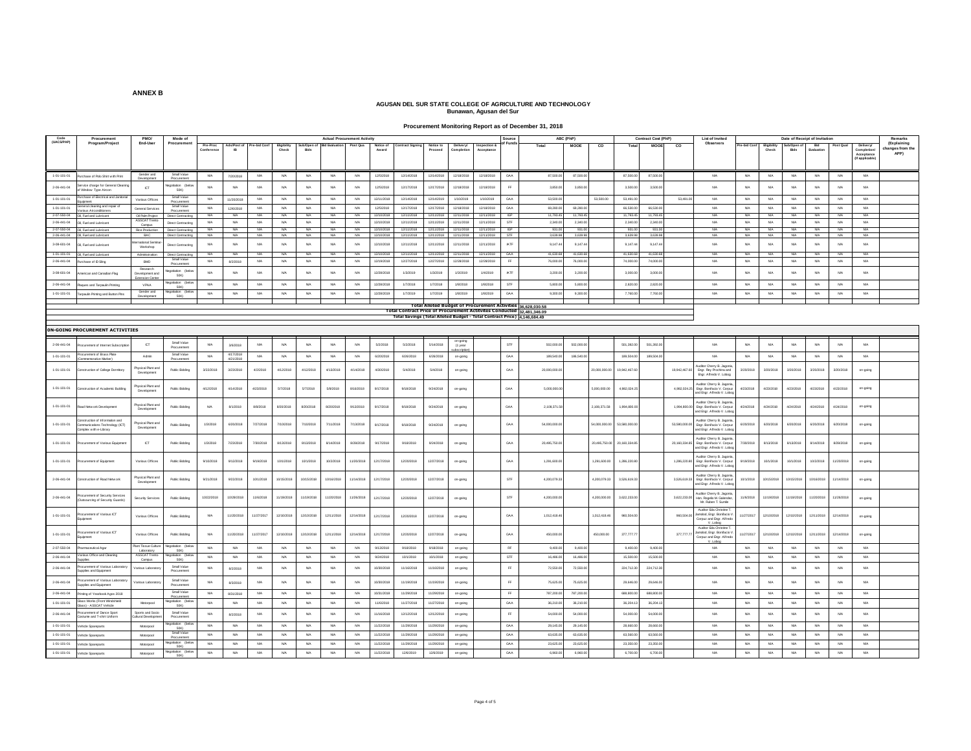#### **Procurement Monitoring Report as of December 31, 2018**

| Code<br>(UACS/PAP)                   | Procurem                                                  | <b>PMO</b>                                    |                                         |                        |                        |                  |                             |                        |                         | <b>Actual Procurement Activity</b> |                          |                                                                          |                         |                          |                                                              | Source            |                        | ABC (PhP)            |                |                      | Contract Cost (PhP) | List of Invite                                                                                       |                        |                         | Date of Receipt of Invitatio |                   |                 | Remarks                                                                                                   |
|--------------------------------------|-----------------------------------------------------------|-----------------------------------------------|-----------------------------------------|------------------------|------------------------|------------------|-----------------------------|------------------------|-------------------------|------------------------------------|--------------------------|--------------------------------------------------------------------------|-------------------------|--------------------------|--------------------------------------------------------------|-------------------|------------------------|----------------------|----------------|----------------------|---------------------|------------------------------------------------------------------------------------------------------|------------------------|-------------------------|------------------------------|-------------------|-----------------|-----------------------------------------------------------------------------------------------------------|
|                                      | Program/Project                                           | End-User                                      | Procuremen                              | Pre-Proc<br>Conference | Ads/Post of            | Pre-bid Con      | <b>Eligibility</b><br>Check | Sub/Open o<br>Bids     | <b>Bid Evaluation</b>   | Post Qua                           | Notice of<br>Award       | Contract Signing                                                         | Notice to<br>Proceed    | Delivery/<br>Completion  | Inspection &<br>Acceptanc                                    | of Funds          | Total                  | <b>MOOE</b>          | $\overline{c}$ | Tota                 | <b>MOOR</b>         | Observers<br>co                                                                                      | Pre-bid Conf           | Eligibility<br>Check    | Sub/Open<br>Bids             | Bid<br>Evaluation | Post Qua        | (Explaining<br><b>Delivery/</b><br>changes from the<br>Completion<br>APP)<br>Acceptance<br>(If applicable |
| $1 - 01 - 101 - 01$                  | chase of Polo Shirt with Prin                             | Gender and                                    | Small Value                             | NA                     | 7/20/2018              | NA               | NA.                         | <b>NA</b>              | <b>N/A</b>              | NA                                 | 12/5/2018                | 12/14/2018                                                               | 12/14/2018              | 12/18/2018               | 12/18/2018                                                   | GAA               | 87,500.00              | 87,500.00            |                | 87,500.00            | 87,500.0            | NA                                                                                                   | NA                     | N/A                     | NA                           | NA                | NA              | <b>N/A</b>                                                                                                |
| $2 - 06 - 441 - 04$                  | vice charge for General Clea                              | <b>Javaicpme</b>                              | egotiation (be                          | <b>NA</b>              | <b>NA</b>              | <b>NA</b>        | <b>NA</b>                   | <b>NA</b>              | <b>NA</b>               | <b>NA</b>                          | 12/5/2018                | 12/17/2018                                                               | 12/17/2018              | 12/18/2018               | 12/18/2018                                                   | FF.               | 3,850.00               | 3.850.0              |                | 3,500                | 3,500.0             | <b>NA</b>                                                                                            | <b>NA</b>              | <b>N/A</b>              | <b>NA</b>                    | <b>NA</b>         | NA              | <b>N/A</b>                                                                                                |
|                                      | Window Type Aircon<br>chase of Bectrical and Janitor      | <b>ICT</b>                                    | 50K)<br>Small Value                     |                        |                        |                  |                             |                        |                         |                                    |                          |                                                                          |                         |                          |                                                              |                   |                        |                      |                |                      |                     |                                                                                                      |                        |                         |                              |                   |                 |                                                                                                           |
| 1-01-101-01                          | tral cleaning and repair o                                | Various Offices                               | Small Value                             | NA                     | 11/20/2018             | N/A              | N/A                         | <b>NA</b>              | NA.                     | <b>NA</b>                          | 12/11/2018               | 12/14/2018                                                               | 12/14/2019              | 1/10/2019                | 1/10/2019                                                    | GAA               | 53,500.00              |                      | 53,500.00      | 53,491.              |                     | 53,491.0<br>NA                                                                                       | <b>N/A</b>             | N/A                     | <b>NA</b>                    | <b>NA</b>         | NA              | <b>N/A</b>                                                                                                |
| 1-01-101-01<br>2-07-550-04           | Various Airconditioners<br>Oil, Fuel and Lubricant        | General Services<br>Oil Palm Project          | Procuremen<br><b>Direct Contracting</b> | NA.<br><b>NA</b>       | 12/6/2018<br><b>NA</b> | N/A<br><b>NA</b> | <b>NA</b><br><b>NA</b>      | <b>NA</b><br><b>NA</b> | <b>N/A</b><br><b>NA</b> | NA<br><b>NA</b>                    | 12/5/2018<br>12/10/201   | 12/17/2018<br>12/11/2018                                                 | 12/17/2018<br>12/11/201 | 12/18/2018<br>12/11/2018 | 12/18/2018<br>12/11/2018                                     | GAA<br><b>IGP</b> | 69,280.00<br>11,793.45 | 69,280.0<br>11.793.4 |                | 66,530.00<br>11.793. | 66,530.0<br>11.793  | NIA<br>NA                                                                                            | NA<br><b>NA</b>        | NA<br><b>NA</b>         | <b>NA</b><br>N/A             | NA<br>N/A         | NA<br>NA        | N/A<br>N/A                                                                                                |
| $2.06 - 441 - 04$                    | OI, Fuel and Lubricant                                    | ASSCAT Trento<br>Campus                       | Direct Contracting                      | NA                     | NA                     | NA               | N/A                         | <b>NA</b>              | <b>NA</b>               | NA                                 | 12/10/201                | 12/11/2018                                                               | 12/11/201               | 12/11/2018               | 12/11/201                                                    | STF               | 2,340.00               | 2,340.0              |                | 2,340.               | 2,340               | NA                                                                                                   | NA                     | <b>NA</b>               | NA                           | NA                | NA              | <b>N/A</b>                                                                                                |
|                                      | 2-07-550-04 OII, Fuel and Lubricant                       | Rice Production                               | Direct Contracting                      | <b>NA</b>              | NA.                    | <b>NA</b>        | <b>NA</b>                   | <b>NA</b>              | <b>N/A</b>              | NA                                 | 12/10/2018               | 12/11/2018                                                               | 12/11/2018              | 12/11/2018               | 12/11/2018                                                   | <b>IGP</b>        | 931.00                 | 931.0                |                | 931.0                | 931                 | N/A                                                                                                  | NA                     | <b>N/A</b>              | NA                           | NA                | N/A             | <b>N/A</b>                                                                                                |
|                                      | 2-06-441-04 Oil, Fuel and Lubricant                       | BAC<br>mational Semina                        | Direct Contracting                      | <b>NA</b>              | NA                     | <b>N/A</b>       | <b>NA</b>                   | <b>NA</b>              | <b>NA</b>               | NA                                 | 12/10/2018               | 12/11/2018                                                               | 12/11/2018              | 12/11/2018               | 12/11/2018                                                   | STF               | 3,639.98               | 3,639.98             |                | 3,639.98             | 3,639.9             | NA                                                                                                   | NA                     | <b>NA</b>               | <b>NA</b>                    | NA                | NA              | N/A                                                                                                       |
| $3-08-601-04$                        | I, Fuel and Lubrican                                      | Workshop                                      | <b>Direct Contracting</b>               | NA                     | NA                     | <b>N/A</b>       | N/A                         | <b>NA</b>              | <b>N/A</b>              | <b>NA</b>                          | 12/10/2012               | 12/11/2018                                                               | 12/11/2018              | 12/11/2018               | 12/11/2018                                                   | <b>IATF</b>       | 9.147.4                | 9.147.               |                | 9.147                | 9.147.4             | N/A                                                                                                  | N/A                    | N/A                     | NA                           | <b>NA</b>         | NA              | <b>N/A</b>                                                                                                |
| $1-01-101-01$<br>$2 - 06 - 441 - 04$ | OI, Fuel and Lubricant<br>chase of D Sing                 | Administration<br>BMO                         | Direct Contracting<br>Small Value       | NA<br><b>NA</b>        | NA<br>8/2/2018         | NA<br><b>NA</b>  | N/A<br><b>NA</b>            | <b>NA</b><br><b>NA</b> | <b>N/A</b><br><b>NA</b> | <b>NA</b><br><b>NA</b>             | 12/10/2018<br>12/19/2018 | 12/11/2018<br>12/27/2018                                                 | 12/11/2018<br>12/27/201 | 12/11/2018<br>12/28/201  | 12/11/2018<br>12/28/201                                      | GAA<br>FF.        | 41,630.68<br>76,000.00 | 41,630.6<br>76,000.0 |                | 41,630.6<br>74,000.  | 41,630.6<br>74,000  | NA<br><b>NA</b>                                                                                      | <b>NA</b><br><b>NA</b> | <b>N/A</b><br><b>NA</b> | NA<br><b>NA</b>              | NA<br><b>NA</b>   | NA<br><b>NA</b> | <b>N/A</b><br><b>N/A</b>                                                                                  |
| $3-08-601-04$                        | erican and Canadian Flag                                  | Research<br>Jevelopment and                   | entiation (heli<br>50K)                 | NA                     | NA                     | <b>N/A</b>       | N/A                         | <b>N/A</b>             | <b>NA</b>               | NA                                 | 12/28/2012               | 1/3/2019                                                                 | 1/3/2019                | 1/3/2019                 | 1/4/2019                                                     | <b>IATF</b>       | 3,200.00               | 3,200.0              |                | 3,000.               | 3,000.0             | N/A                                                                                                  | <b>N/A</b>             | <b>NA</b>               | NA                           | <b>NA</b>         | NA              | <b>N/A</b>                                                                                                |
| $2-06-441-04$                        | lagues and Tarpaulin Printing                             | Extension Cente<br>VPAA                       |                                         | NA                     | NA                     | NA               | <b>NA</b>                   | <b>NA</b>              | <b>NA</b>               | NA                                 | 12/28/2018               | 1/7/2018                                                                 | 1/7/2018                | 1/8/2018                 | 1/8/2018                                                     | STF               | 5,800.00               | 5,800.0              |                | 2,820.0              | 2,820.0             | NA                                                                                                   | $_{\rm N/A}$           | <b>N/A</b>              | NA                           | NA                | NA              | $_{\rm NAA}$                                                                                              |
| 1-01-101-01                          | spaulin Printing and Button Pine                          | Gender and                                    | 50K)<br>tiation (b)                     | <b>NA</b>              | NA                     | <b>N/A</b>       | <b>NA</b>                   | <b>NA</b>              | <b>N/A</b>              | <b>NA</b>                          | 12/28/201                | 1/7/2019                                                                 | 1/7/2019                | 1/8/2019                 | 1/8/2019                                                     | GAA               | 9,300.00               | 9,300.0              |                | 7,760.               | 7,760.0             | NA                                                                                                   | N/A                    | <b>NA</b>               | NA                           | <b>NA</b>         | <b>NA</b>       | <b>N/A</b>                                                                                                |
|                                      |                                                           | Development                                   | 50K)                                    |                        |                        |                  |                             |                        |                         |                                    |                          |                                                                          |                         |                          | Total Alloted Budget of Procurement Activities 36,628,030.58 |                   |                        |                      |                |                      |                     |                                                                                                      |                        |                         |                              |                   |                 |                                                                                                           |
|                                      |                                                           |                                               |                                         |                        |                        |                  |                             |                        |                         |                                    |                          | Total Contract Price of Procurement Actitvites Conducted 32,481,346.09   |                         |                          |                                                              |                   |                        |                      |                |                      |                     |                                                                                                      |                        |                         |                              |                   |                 |                                                                                                           |
|                                      |                                                           |                                               |                                         |                        |                        |                  |                             |                        |                         |                                    |                          | Total Savings (Total Alloted Budget - Total Contract Price) 4,146,684.49 |                         |                          |                                                              |                   |                        |                      |                |                      |                     |                                                                                                      |                        |                         |                              |                   |                 |                                                                                                           |
|                                      | <b>ON-GOING PROCUREMENT ACTIVITIES</b>                    |                                               |                                         |                        |                        |                  |                             |                        |                         |                                    |                          |                                                                          |                         |                          |                                                              |                   |                        |                      |                |                      |                     |                                                                                                      |                        |                         |                              |                   |                 |                                                                                                           |
|                                      |                                                           |                                               | Small Value                             | N/A                    |                        | <b>NAM</b>       | N/A                         | N/A                    | NG                      |                                    | 5/2/2018                 | 5/2/2018                                                                 | 5/14/2018               |                          |                                                              | STF               | 502,000.00             | 502,000.0            |                | 501.392.0            | 501.392.0           | N/A                                                                                                  |                        |                         | N/A                          | NA                | NA              | N/A                                                                                                       |
| $2 - 06 - 441 - 04$                  | rement of Internet Subscrip                               | <b>ICT</b>                                    | Procuremen                              |                        | 3/6/2018               |                  |                             |                        |                         | <b>NA</b>                          |                          |                                                                          |                         | (1 year                  |                                                              |                   |                        |                      |                |                      |                     |                                                                                                      | <b>N/A</b>             | <b>N/A</b>              |                              |                   |                 |                                                                                                           |
| $1 - 01 - 101 - 01$                  | ocurement of Brass Plat<br>memorative Marker              | Admin                                         | Small Value                             | NA                     | 4/17/201<br>4/21/2018  | NA               | N/A                         | <b>NA</b>              | <b>NA</b>               | NA                                 | 6/20/2018                | 6/26/2018                                                                | 6/26/2018               | on-going                 |                                                              | GAA               | 189,540.00             | 186,540.0            |                | 189,504.             | 189.504.            | <b>NA</b>                                                                                            | <b>NA</b>              | NA                      | NA                           | <b>NA</b>         | NA              | <b>N/A</b>                                                                                                |
| $1 - 01 - 101 - 01$                  | struction of College Dormitory                            | hysical Rant and<br>Development               | <b>Rublic Bidding</b>                   | 3/22/2018              | 3/23/2018              | 4/2/2018         | 4/12/2018                   | 4/12/2018              | 4/13/2018               | 4/14/2018                          | 4/30/2018                | 5/4/2018                                                                 | 5/4/2018                | on-going                 |                                                              | GAA               | 20,000,000.0           |                      | 20,000,000.0   | 9,942,467            |                     | Auditor Cherry B. Jagonia<br>19,942,467.6<br>Engr. Rey Prochina and<br>Engr. Alfredo V. Lobog        | 3/20/2018              | 3/20/201                | 3/20/2018                    | 3/20/2018         | 3/20/2018       | on-going                                                                                                  |
| 1-01-101-01                          | truction of Academic Building                             | <b>Physical Flant and</b><br>Development      | <b>Public Bidding</b>                   | 4/12/2018              | 4/14/2018              | 4/23/2018        | 5/7/2018                    | 5/7/2018               | 5/8/2018                | 8/16/2018                          | 9/17/2018                | 9/18/2018                                                                | 9/24/2018               | on-going                 |                                                              | GAA               | 5.000.000.0            |                      | 5.000.000.00   | 4,982,024            |                     | Auditor Cherry B. Jagonia<br>4,982,024.25<br>Engr. Bonifacio V. Corpuz<br>and Engr. Alfredo V. Lobo  | 4/23/2018              | 4/23/2018               | 4/23/2018                    | 4/23/2018         | 4/23/2018       | on-going                                                                                                  |
| $1 - 01 - 101 - 01$                  | Network Development                                       | hysical Plant an<br>Development               | <b>Public Bidding</b>                   | NA                     | 8/1/2018               | 8/8/2018         | 8/20/2018                   | 8/20/2018              | 8/20/2018               | 9/13/2018                          | 9/17/2018                | 9/18/2018                                                                | 9/24/2018               | on-going                 |                                                              | GAA               | 2,108,371.58           |                      | 2,108,371.5    | 1,994,800.           |                     | Auditor Cherry B. Jagonia,<br>Engr. Bonifacio V. Corpuz<br>1,994,800.00                              | 4/24/2018              | 4/24/2018               | 4/24/2018                    | 4/24/2018         | 4/24/2018       | on-going                                                                                                  |
|                                      | truction of Information and                               |                                               |                                         |                        |                        |                  |                             |                        |                         |                                    |                          |                                                                          |                         |                          |                                                              |                   |                        |                      |                |                      |                     | and Engr. Alfredo V. Lobog<br>uditor Cherry B. Jagonia                                               |                        |                         |                              |                   |                 |                                                                                                           |
| $1 - 01 - 101 - 01$                  | mmunications Technology (ICT)<br>mplex with e-Library     | hysical Rant and<br>Developmen                | <b>Public Bidding</b>                   | 1/3/2018               | 6/20/2018              | 7/27/2018        | 7/10/2018                   | 7/10/2018              | 7/11/2018               | 7/13/2018                          | 9/17/2018                | 9/18/2018                                                                | 9/24/2018               | on-going                 |                                                              | GAA               | 54,000,000.0           |                      | 54,000,000.0   | 53,580,000.          |                     | 53,580,000.00<br>Engr. Bonifacio V. Corpuz<br>and Engr. Alfredo V. Lobo                              | 6/20/2018              | 6/20/2018               | 6/20/2018                    | 6/20/2018         | 6/20/2018       | on-going                                                                                                  |
| $1 - 01 - 101 - 01$                  | urement of Various Equipmen                               | <b>ICT</b>                                    | <b>Public Bidding</b>                   | 1/3/2018               | 7/23/2018              | 7/30/2018        | 8/13/2018                   | 8/13/2018              | 8/14/2018               | 8/28/2018                          | 9/17/2018                | 9/18/2018                                                                | 9/24/2018               | on-going                 |                                                              | GAA               | 20,495,750.0           |                      | 20.495.750.0   | 20,160,334           |                     | Auditor Cherry B. Jagonia<br>20,160,334.85 Engr. Bonifacio V. Corpuz<br>and Engr. Alfredo V. Lobo    | 7/30/2018              | 8/13/2018               | 8/13/2018                    | 8/14/2018         | 8/28/2018       | on-going                                                                                                  |
| $1 - 01 - 101 - 01$                  | urement of Equipment                                      | Various Offices                               | <b>Rublic Bidding</b>                   | 9/10/2018              | 9/12/2018              | 9/19/2018        | 10/1/2018                   | 10/1/2018              | 10/2/2018               | 11/20/2018                         | 12/17/2018               | 12/20/2018                                                               | 12/27/2018              | on-going                 |                                                              | GAA               | 1,291,600.00           |                      | 1,291,600.00   | 1,286,220.8          |                     | Auditor Cherry B. Jagonia<br>1,286,220.80<br>Engr. Bonifacio V. Corpuz<br>and Engr. Alfredo V. Lobog | 9/19/2018              | 10/1/2018               | 10/1/2018                    | 10/2/2018         | 11/20/2018      | on-going                                                                                                  |
| 2-06-441-04                          | truction of Road Network                                  | <b>Physical Rant and</b><br>Development       | <b>Public Bidding</b>                   | 9/21/2018              | 9/22/2018              | 10/1/2018        | 10/15/2018                  | 10/15/2018             | 10/16/2018              | 11/14/2018                         | 12/17/2018               | 12/20/2018                                                               | 12/27/2018              | on-going                 |                                                              | STF               | 4.200.079.33           |                      | 4.200.079.33   | 3.526.619.33         |                     | Auditor Cherry B. Jagoni<br>3.526.619.33<br>Engr. Bonifacio V. Corpuz                                | 10/1/2018              | 10/15/2018              | 10/15/2018                   | 10/16/2018        | 11/14/2018      | on-going                                                                                                  |
| 2-06-441-04                          | rement of Security Service                                | scurity Services                              | <b>Rublic Bidding</b>                   | 10/22/2018             | 0/29/201               | 1/6/2018         | 11/19/2018                  | 11/19/201              | 11/20/201               | 11/26/201                          | 12/17/2011               | 12/20/2018                                                               | 12/27/2018              | on-going                 |                                                              | STF               | 4,200,000.0            |                      | 4,200,000.     | 3,622,233            |                     | and Engr. Alfredo V. Lobo<br>Auditor Cherry B. Jagonia<br>3,622,233.00<br>Hon. Rogelio M Galendez    | 1/6/2018               | 1/19/2018               | 1/19/2018                    | 1/20/2018         | 1/26/201        | on-going                                                                                                  |
| $1-01-101-01$                        | lutsourcing of Security Guards)<br>urement of Various ICT | Various Offices                               | <b>Public Bidding</b>                   | <b>NA</b>              | 11/20/2018             | 11/27/2017       | 12/10/2018                  | 12/10/2018             | 12/11/2018              | 12/14/2018                         | 12/17/2018               | 12/20/2018                                                               | 12/27/2018              |                          |                                                              | GAA               | 1.012.418.46           |                      | 1.012.418.46   | 960,504.             |                     | Mr. Ruben T. Sumle<br>Auditor Eda Christine<br>molod, Engr. Bonifacio V<br>960,504.00                | 1/27/2017              | 12/10/2018              | 12/10/2018                   | 12/11/2018        | 12/14/2018      |                                                                                                           |
|                                      | ipmen                                                     |                                               |                                         |                        |                        |                  |                             |                        |                         |                                    |                          |                                                                          |                         | on-going                 |                                                              |                   |                        |                      |                |                      |                     | Corpuz and Engr. Alfredo<br>V. Lobod<br>Auditor Eda Christine                                        |                        |                         |                              |                   |                 | on-going                                                                                                  |
| $1 - 01 - 101 - 01$<br>2-07-550-04   | urement of Various ICT<br>doment                          | Various Offices<br><b>Rant Tissue Culture</b> | <b>Public Bidding</b><br>noitsito       |                        | 11/20/2018             | 11/27/2017       | 12/10/2018                  | 12/10/2010             | 12/11/2018              | 12/14/2018                         | 12/17/2018               | 12/20/2018<br>9/18/2018                                                  | 12/27/2018<br>9/18/2018 | on-going                 |                                                              | GAA               | 450,000.0              |                      | 450,000.00     | 377,777.             |                     | Jamolod, Engr. Bonifacio V<br>Corpuz and Engr. Alfredo<br>377,777.77<br>V. Lobop<br>NIA              | 1/27/2017              | 2/10/2018               | 2/10/2018                    | 12/11/2018        | 12/14/2018      | on-going                                                                                                  |
|                                      | armaceutical Aga<br>ous Office and Cleaning               | Laboratory<br>ASSCAT Trento                   | 50K)                                    | NA.                    | NA                     | NA               | <b>NA</b>                   | <b>NA</b>              | <b>N/A</b>              | NA                                 | 9/13/2018                |                                                                          | 10/1/2018               | on-going                 |                                                              | <b>RF</b>         | 9,400.00               | 9.400.0              |                | 9,400.00             | 9.400.00            |                                                                                                      | <b>N/A</b>             | NA.                     | <b>NA</b>                    | NA                | <b>NA</b>       | N/A                                                                                                       |
| $2 - 06 - 441 - 04$                  |                                                           | Campus                                        | <b>50K)</b>                             | NA                     | NA                     | NA               | N/A                         | <b>NA</b>              | <b>NA</b>               | NA                                 | 9/24/2018                | 10/1/2018                                                                |                         | on-going                 |                                                              | STF               | 16,486.00              | 16,486.0             |                | 15,500.              | 15,500.0            | NA                                                                                                   | NA                     | NA                      | NA                           | NA                | NA              | <b>N/A</b>                                                                                                |
| $2 - 06 - 441 - 04$                  | curement of Various Laborato<br>pplies and Equipment      | arious Laboratory                             | Small Value<br>Procuremen               | <b>NA</b>              | 8/2/2018               | NA               | <b>NA</b>                   | <b>NA</b>              | <b>N/A</b>              | <b>NA</b>                          | 10/30/2018               | 11/16/2018                                                               | 11/16/2018              | on-going                 |                                                              | FF.               | 72,550.00              | 72,550.0             |                | 224.712.3            | 224,712.3           | NA                                                                                                   | <b>N/A</b>             | <b>N/A</b>              | <b>NA</b>                    | <b>NA</b>         | <b>NA</b>       | <b>N/A</b>                                                                                                |
| $2.06 - 441 - 04$                    | curement of Various Laborato<br>ples and Equipment        | arious Laboratory                             | Small Value                             | NA                     | 8/3/2018               | NA               | N/A                         | <b>NA</b>              | <b>N/A</b>              | <b>NA</b>                          | 10/30/201                | 11/19/2018                                                               | 11/19/2018              | on-going                 |                                                              | FF                | 75,625.00              | 75,625.0             |                | 29,646.              | 29,646.0            | NA                                                                                                   | N/A                    | <b>NA</b>               | <b>NA</b>                    | <b>NA</b>         | NA              | ΝA                                                                                                        |
| $2 - 06 - 441 - 04$                  | tring of Yearbook Agos 2018                               |                                               | Small Valu<br>Procurement               | <b>NA</b>              | 8/31/2018              | <b>N/A</b>       | N/A                         | <b>NA</b>              | NA                      | NA                                 | 10/31/2018               | 11/29/2018                                                               | 11/29/201               | on-going                 |                                                              | FF.               | 787,200.00             | 787,200.0            |                | 688,800.             | 688,800.0           | <b>NA</b>                                                                                            | NA                     | <b>N/A</b>              | NA                           | NA                | NA              | $N/A$                                                                                                     |
| $1 - 01 - 101 - 01$                  | iss Works (Front Windshie<br>s) - ASSCAT Vehicle          | Motorpool                                     | egotiation (be<br>50KG                  | <b>NA</b>              | NA                     | <b>NA</b>        | N/A                         | <b>NA</b>              | <b>N/A</b>              | NA                                 | 11/6/2018                | 11/27/2018                                                               | 11/27/201               | on-going                 |                                                              | GAA               | 36,210.00              | 36,210.0             |                | 36,204.              | 36,204.1            | <b>NA</b>                                                                                            | NA                     | NA                      | NA                           | <b>NA</b>         | NA              | <b>N/A</b>                                                                                                |
| $2 - 06 - 441 - 04$                  | urement of Dance Sport<br>stume and T-shirt Uniform       | Sports and Social<br><b>Jultural Developm</b> | Small Value<br>Procuremen               | <b>NA</b>              | 8/2/2018               | NA               | N/A                         | <b>NA</b>              | <b>N/A</b>              | <b>NA</b>                          | 11/16/2018               | 12/12/2018                                                               | 12/12/2018              | on-going                 |                                                              | EF.               | 54,000.00              | 54,000.0             |                | 54,000.0             | 54,000.0            | NA                                                                                                   | NA                     | <b>NA</b>               | NA                           | <b>NA</b>         | NA              | <b>N/A</b>                                                                                                |
| $1 - 01 - 101 - 01$                  | ehicle Sparepart                                          | Motorpool                                     | otiation (be<br><b>50K</b>              | <b>NA</b>              | <b>NA</b>              | <b>NA</b>        | <b>NA</b>                   | <b>NA</b>              | <b>N/A</b>              | NA                                 | 11/22/2018               | 11/29/2018                                                               | 11/29/201               | on-going                 |                                                              | GAA               | 29,145.00              | 29,145.0             |                | 28,660.              | 28,660              | <b>NA</b>                                                                                            | N/A                    | <b>NA</b>               | NA                           | NA                | NA              | <b>N/A</b>                                                                                                |
| 1-01-101-01                          | chicle Sparepart                                          | Motorpool                                     | Small Value                             | <b>NA</b>              | NA                     | <b>N/A</b>       | <b>NA</b>                   | <b>NA</b>              | <b>N/A</b>              | NA                                 | 11/22/2018               | 11/29/2018                                                               | 11/29/2018              | on-going                 |                                                              | GAA               | 63,635.00              | 63,635.0             |                | 63,560.0             | 63,560.0            | NA                                                                                                   | <b>N/A</b>             | NA.                     | NA                           | <b>NA</b>         | <b>NA</b>       | <b>N/A</b>                                                                                                |
| 1-01-101-01                          | chicle Spareparts                                         | Motorpool                                     | 50K)                                    | <b>NA</b>              | NA                     | <b>N/A</b>       | <b>NA</b>                   | <b>NA</b>              | <b>N/A</b>              | <b>NA</b>                          | 11/22/201                | 11/29/2018                                                               | 11/29/201               | on-going                 |                                                              | GAA               | 23,625.0               | 23,625.0             |                | 23,350.0             | 23,350.0            | NA                                                                                                   | <b>N/A</b>             | <b>NA</b>               | NA                           | <b>NA</b>         | <b>NA</b>       | <b>N/A</b>                                                                                                |
| $1-01-101-01$                        | Vehicle Spareparts                                        | Motorpool                                     | 50K)                                    | NA                     | NA                     | NA               | $_{\rm NA}$                 | $_{\rm NA}$            | NA.                     | $_{\rm NA}$                        | 11/22/2018               | 12/6/2019                                                                | 12/6/2019               | on-going                 |                                                              | GAA               | 6,960.00               | 6,960.00             |                | 6,700.00             | 6,700.00            | <b>N/A</b>                                                                                           | $_{\rm N/A}$           | $_{\rm NIA}$            | $_{\rm NA}$                  | $_{\rm NA}$       | $_{\rm{NIA}}$   | $_{\rm NFA}$                                                                                              |